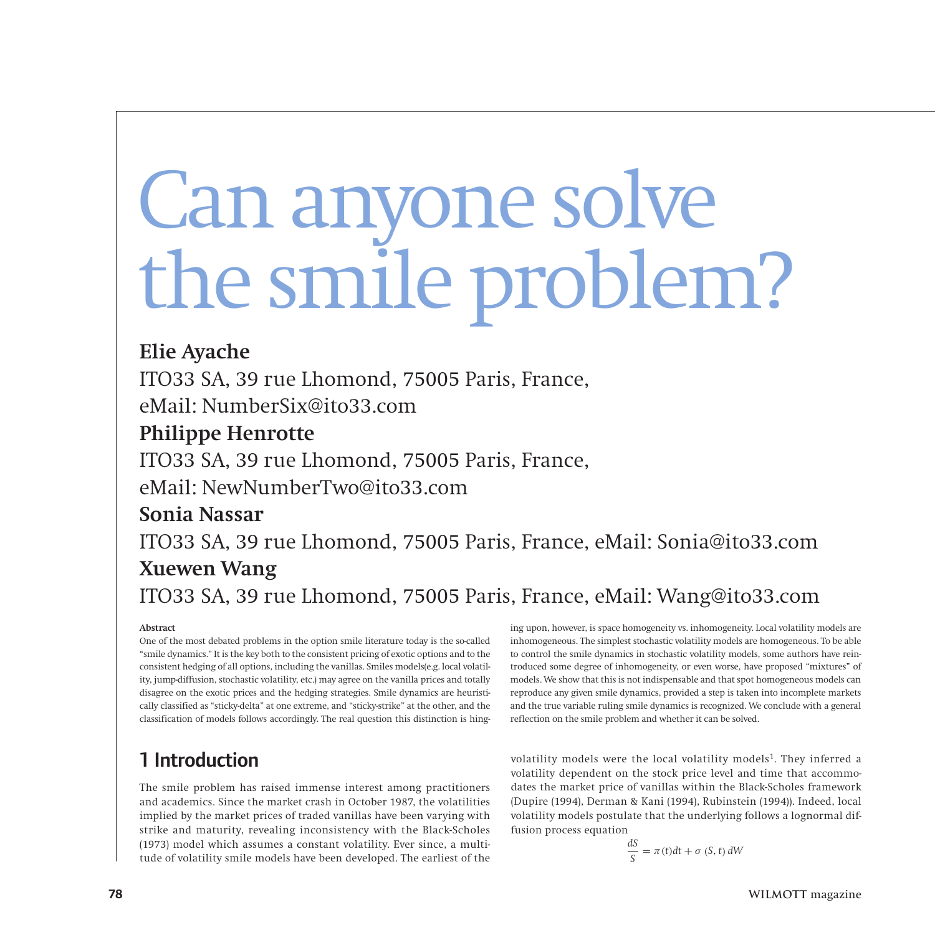# Can anyone solve the smile problem?

# **Elie Ayache**

ITO33 SA, 39 rue Lhomond, 75005 Paris, France,

eMail: NumberSix@ito33.com

# **Philippe Henrotte**

ITO33 SA, 39 rue Lhomond, 75005 Paris, France,

eMail: NewNumberTwo@ito33.com

# **Sonia Nassar**

# ITO33 SA, 39 rue Lhomond, 75005 Paris, France, eMail: Sonia@ito33.com **Xuewen Wang** ITO33 SA, 39 rue Lhomond, 75005 Paris, France, eMail: Wang@ito33.com

## **Abstract**

One of the most debated problems in the option smile literature today is the so-called "smile dynamics." It is the key both to the consistent pricing of exotic options and to the consistent hedging of all options, including the vanillas. Smiles models(e.g. local volatility, jump-diffusion, stochastic volatility, etc.) may agree on the vanilla prices and totally disagree on the exotic prices and the hedging strategies. Smile dynamics are heuristically classified as "sticky-delta" at one extreme, and "sticky-strike" at the other, and the classification of models follows accordingly. The real question this distinction is hing-

# 1 Introduction

The smile problem has raised immense interest among practitioners and academics. Since the market crash in October 1987, the volatilities implied by the market prices of traded vanillas have been varying with strike and maturity, revealing inconsistency with the Black-Scholes (1973) model which assumes a constant volatility. Ever since, a multitude of volatility smile models have been developed. The earliest of the ing upon, however, is space homogeneity vs. inhomogeneity. Local volatility models are inhomogeneous. The simplest stochastic volatility models are homogeneous. To be able to control the smile dynamics in stochastic volatility models, some authors have reintroduced some degree of inhomogeneity, or even worse, have proposed "mixtures" of models. We show that this is not indispensable and that spot homogeneous models can reproduce any given smile dynamics, provided a step is taken into incomplete markets and the true variable ruling smile dynamics is recognized. We conclude with a general reflection on the smile problem and whether it can be solved.

volatility models were the local volatility models<sup>1</sup>. They inferred a volatility dependent on the stock price level and time that accommodates the market price of vanillas within the Black-Scholes framework (Dupire (1994), Derman & Kani (1994), Rubinstein (1994)). Indeed, local volatility models postulate that the underlying follows a lognormal diffusion process equation

$$
\frac{dS}{S} = \pi(t)dt + \sigma(S, t) dW
$$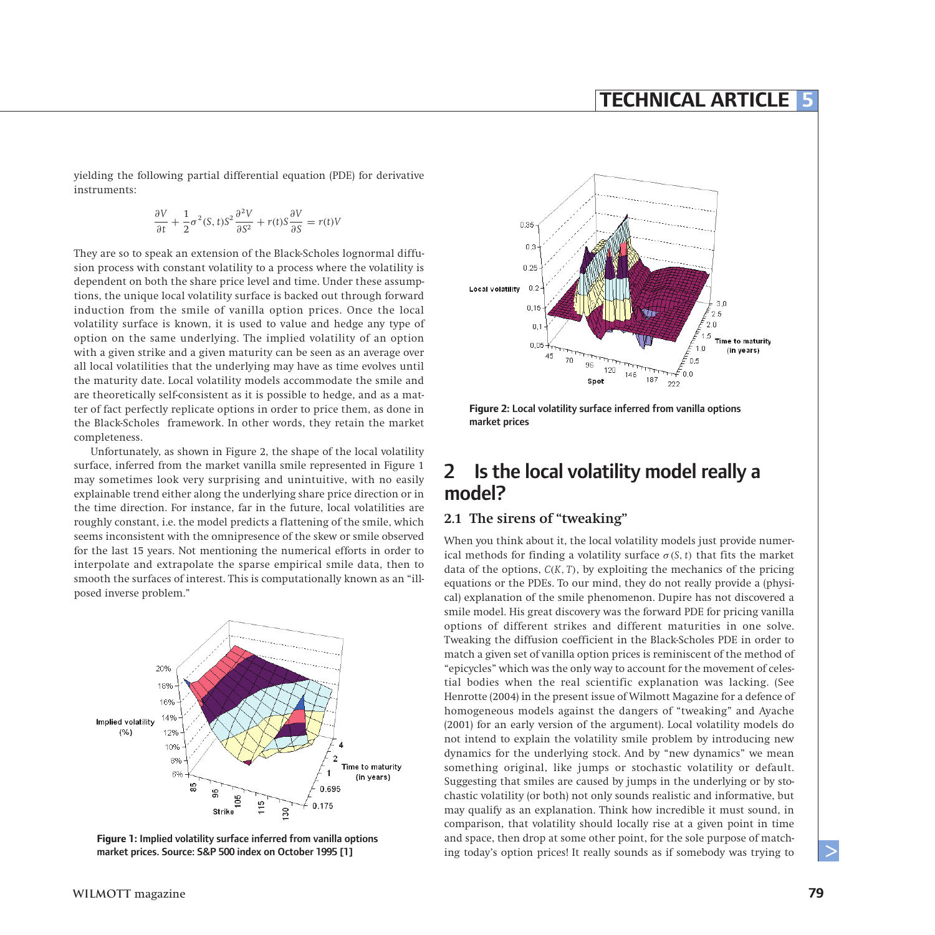yielding the following partial differential equation (PDE) for derivative instruments:

$$
\frac{\partial V}{\partial t} + \frac{1}{2}\sigma^2 (S, t) S^2 \frac{\partial^2 V}{\partial S^2} + r(t) S \frac{\partial V}{\partial S} = r(t) V
$$

They are so to speak an extension of the Black-Scholes lognormal diffusion process with constant volatility to a process where the volatility is dependent on both the share price level and time. Under these assumptions, the unique local volatility surface is backed out through forward induction from the smile of vanilla option prices. Once the local volatility surface is known, it is used to value and hedge any type of option on the same underlying. The implied volatility of an option with a given strike and a given maturity can be seen as an average over all local volatilities that the underlying may have as time evolves until the maturity date. Local volatility models accommodate the smile and are theoretically self-consistent as it is possible to hedge, and as a matter of fact perfectly replicate options in order to price them, as done in the Black-Scholes framework. In other words, they retain the market completeness.

Unfortunately, as shown in Figure 2, the shape of the local volatility surface, inferred from the market vanilla smile represented in Figure 1 may sometimes look very surprising and unintuitive, with no easily explainable trend either along the underlying share price direction or in the time direction. For instance, far in the future, local volatilities are roughly constant, i.e. the model predicts a flattening of the smile, which seems inconsistent with the omnipresence of the skew or smile observed for the last 15 years. Not mentioning the numerical efforts in order to interpolate and extrapolate the sparse empirical smile data, then to smooth the surfaces of interest. This is computationally known as an "illposed inverse problem."



**Figure 1:** Implied volatility surface inferred from vanilla options market prices. Source: S&P 500 index on October 1995 [1]



**Figure 2:** Local volatility surface inferred from vanilla options market prices

# 2 Is the local volatility model really a model?

## **2.1 The sirens of "tweaking"**

When you think about it, the local volatility models just provide numerical methods for finding a volatility surface  $\sigma(S, t)$  that fits the market data of the options, *C(K, T)*, by exploiting the mechanics of the pricing equations or the PDEs. To our mind, they do not really provide a (physical) explanation of the smile phenomenon. Dupire has not discovered a smile model. His great discovery was the forward PDE for pricing vanilla options of different strikes and different maturities in one solve. Tweaking the diffusion coefficient in the Black-Scholes PDE in order to match a given set of vanilla option prices is reminiscent of the method of "epicycles" which was the only way to account for the movement of celestial bodies when the real scientific explanation was lacking. (See Henrotte (2004) in the present issue of Wilmott Magazine for a defence of homogeneous models against the dangers of "tweaking" and Ayache (2001) for an early version of the argument). Local volatility models do not intend to explain the volatility smile problem by introducing new dynamics for the underlying stock. And by "new dynamics" we mean something original, like jumps or stochastic volatility or default. Suggesting that smiles are caused by jumps in the underlying or by stochastic volatility (or both) not only sounds realistic and informative, but may qualify as an explanation. Think how incredible it must sound, in comparison, that volatility should locally rise at a given point in time and space, then drop at some other point, for the sole purpose of matching today's option prices! It really sounds as if somebody was trying to ^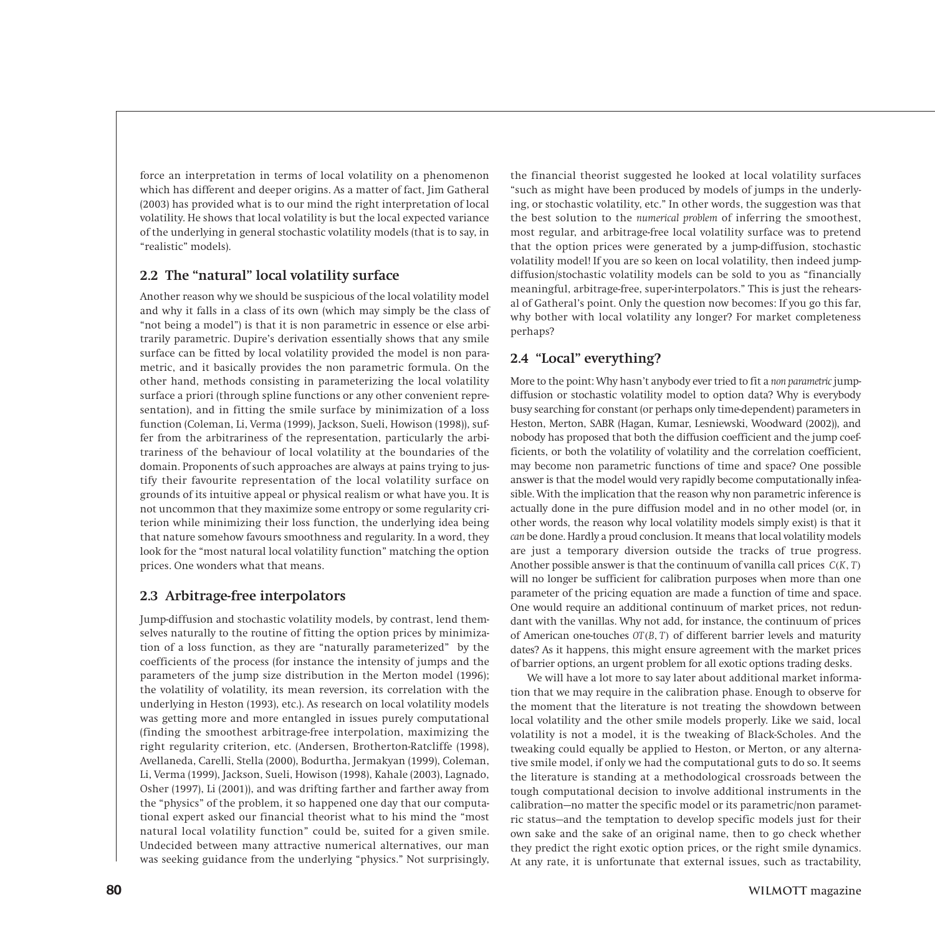force an interpretation in terms of local volatility on a phenomenon which has different and deeper origins. As a matter of fact, Jim Gatheral (2003) has provided what is to our mind the right interpretation of local volatility. He shows that local volatility is but the local expected variance of the underlying in general stochastic volatility models (that is to say, in "realistic" models).

## **2.2 The "natural" local volatility surface**

Another reason why we should be suspicious of the local volatility model and why it falls in a class of its own (which may simply be the class of "not being a model") is that it is non parametric in essence or else arbitrarily parametric. Dupire's derivation essentially shows that any smile surface can be fitted by local volatility provided the model is non parametric, and it basically provides the non parametric formula. On the other hand, methods consisting in parameterizing the local volatility surface a priori (through spline functions or any other convenient representation), and in fitting the smile surface by minimization of a loss function (Coleman, Li, Verma (1999), Jackson, Sueli, Howison (1998)), suffer from the arbitrariness of the representation, particularly the arbitrariness of the behaviour of local volatility at the boundaries of the domain. Proponents of such approaches are always at pains trying to justify their favourite representation of the local volatility surface on grounds of its intuitive appeal or physical realism or what have you. It is not uncommon that they maximize some entropy or some regularity criterion while minimizing their loss function, the underlying idea being that nature somehow favours smoothness and regularity. In a word, they look for the "most natural local volatility function" matching the option prices. One wonders what that means.

## **2.3 Arbitrage-free interpolators**

Jump-diffusion and stochastic volatility models, by contrast, lend themselves naturally to the routine of fitting the option prices by minimization of a loss function, as they are "naturally parameterized" by the coefficients of the process (for instance the intensity of jumps and the parameters of the jump size distribution in the Merton model (1996); the volatility of volatility, its mean reversion, its correlation with the underlying in Heston (1993), etc.). As research on local volatility models was getting more and more entangled in issues purely computational (finding the smoothest arbitrage-free interpolation, maximizing the right regularity criterion, etc. (Andersen, Brotherton-Ratcliffe (1998), Avellaneda, Carelli, Stella (2000), Bodurtha, Jermakyan (1999), Coleman, Li, Verma (1999), Jackson, Sueli, Howison (1998), Kahale (2003), Lagnado, Osher (1997), Li (2001)), and was drifting farther and farther away from the "physics" of the problem, it so happened one day that our computational expert asked our financial theorist what to his mind the "most natural local volatility function" could be, suited for a given smile. Undecided between many attractive numerical alternatives, our man was seeking guidance from the underlying "physics." Not surprisingly,

the financial theorist suggested he looked at local volatility surfaces "such as might have been produced by models of jumps in the underlying, or stochastic volatility, etc." In other words, the suggestion was that the best solution to the *numerical problem* of inferring the smoothest, most regular, and arbitrage-free local volatility surface was to pretend that the option prices were generated by a jump-diffusion, stochastic volatility model! If you are so keen on local volatility, then indeed jumpdiffusion/stochastic volatility models can be sold to you as "financially meaningful, arbitrage-free, super-interpolators." This is just the rehearsal of Gatheral's point. Only the question now becomes: If you go this far, why bother with local volatility any longer? For market completeness perhaps?

# **2.4 "Local" everything?**

More to the point: Why hasn't anybody ever tried to fit a *non parametric*jumpdiffusion or stochastic volatility model to option data? Why is everybody busy searching for constant (or perhaps only time-dependent) parameters in Heston, Merton, SABR (Hagan, Kumar, Lesniewski, Woodward (2002)), and nobody has proposed that both the diffusion coefficient and the jump coefficients, or both the volatility of volatility and the correlation coefficient, may become non parametric functions of time and space? One possible answer is that the model would very rapidly become computationally infeasible. With the implication that the reason why non parametric inference is actually done in the pure diffusion model and in no other model (or, in other words, the reason why local volatility models simply exist) is that it *can* be done. Hardly a proud conclusion. It means that local volatility models are just a temporary diversion outside the tracks of true progress. Another possible answer is that the continuum of vanilla call prices *C(K, T)* will no longer be sufficient for calibration purposes when more than one parameter of the pricing equation are made a function of time and space. One would require an additional continuum of market prices, not redundant with the vanillas. Why not add, for instance, the continuum of prices of American one-touches *OT(B, T)* of different barrier levels and maturity dates? As it happens, this might ensure agreement with the market prices of barrier options, an urgent problem for all exotic options trading desks.

We will have a lot more to say later about additional market information that we may require in the calibration phase. Enough to observe for the moment that the literature is not treating the showdown between local volatility and the other smile models properly. Like we said, local volatility is not a model, it is the tweaking of Black-Scholes. And the tweaking could equally be applied to Heston, or Merton, or any alternative smile model, if only we had the computational guts to do so. It seems the literature is standing at a methodological crossroads between the tough computational decision to involve additional instruments in the calibration—no matter the specific model or its parametric/non parametric status—and the temptation to develop specific models just for their own sake and the sake of an original name, then to go check whether they predict the right exotic option prices, or the right smile dynamics. At any rate, it is unfortunate that external issues, such as tractability,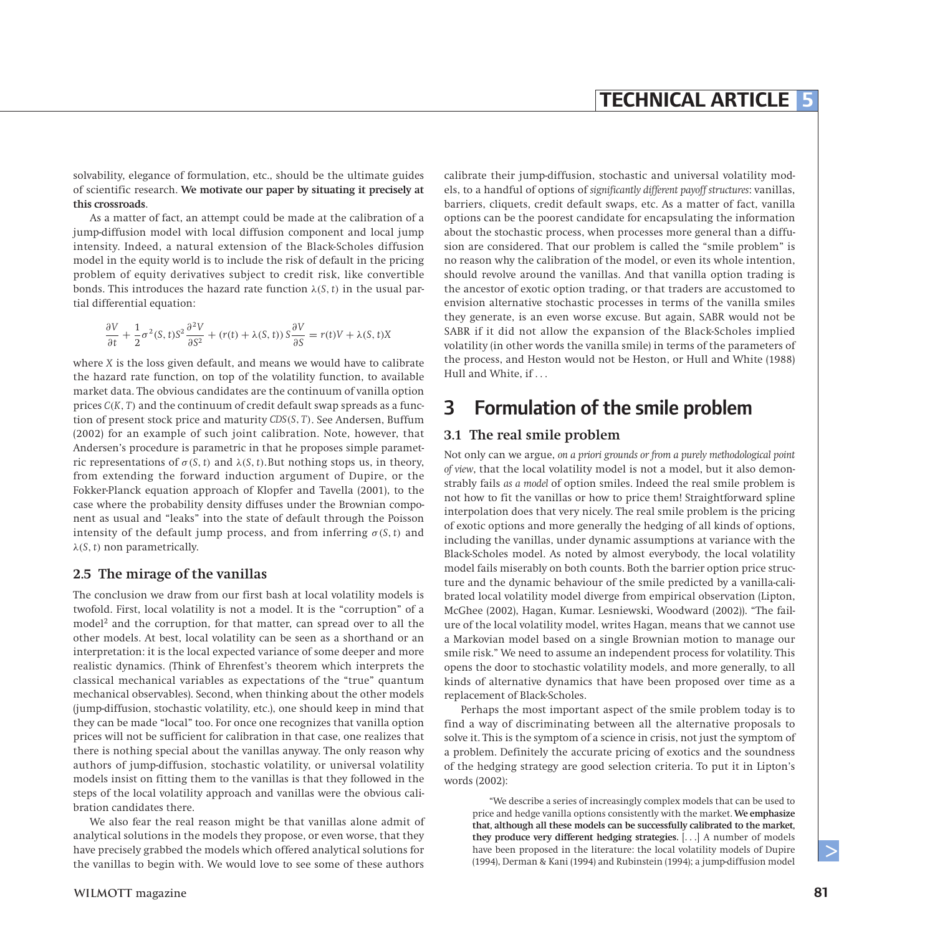solvability, elegance of formulation, etc., should be the ultimate guides of scientific research. **We motivate our paper by situating it precisely at this crossroads**.

As a matter of fact, an attempt could be made at the calibration of a jump-diffusion model with local diffusion component and local jump intensity. Indeed, a natural extension of the Black-Scholes diffusion model in the equity world is to include the risk of default in the pricing problem of equity derivatives subject to credit risk, like convertible bonds. This introduces the hazard rate function  $\lambda(S, t)$  in the usual partial differential equation:

$$
\frac{\partial V}{\partial t} + \frac{1}{2}\sigma^2(S, t)S^2 \frac{\partial^2 V}{\partial S^2} + (r(t) + \lambda(S, t)) S \frac{\partial V}{\partial S} = r(t)V + \lambda(S, t)X
$$

where *X* is the loss given default, and means we would have to calibrate the hazard rate function, on top of the volatility function, to available market data. The obvious candidates are the continuum of vanilla option prices *C(K, T)* and the continuum of credit default swap spreads as a function of present stock price and maturity *CDS(S, T)*. See Andersen, Buffum (2002) for an example of such joint calibration. Note, however, that Andersen's procedure is parametric in that he proposes simple parametric representations of  $σ(S, t)$  and  $λ(S, t)$ . But nothing stops us, in theory, from extending the forward induction argument of Dupire, or the Fokker-Planck equation approach of Klopfer and Tavella (2001), to the case where the probability density diffuses under the Brownian component as usual and "leaks" into the state of default through the Poisson intensity of the default jump process, and from inferring  $\sigma(S, t)$  and *λ(S, t)* non parametrically.

#### **2.5 The mirage of the vanillas**

The conclusion we draw from our first bash at local volatility models is twofold. First, local volatility is not a model. It is the "corruption" of a model<sup>2</sup> and the corruption, for that matter, can spread over to all the other models. At best, local volatility can be seen as a shorthand or an interpretation: it is the local expected variance of some deeper and more realistic dynamics. (Think of Ehrenfest's theorem which interprets the classical mechanical variables as expectations of the "true" quantum mechanical observables). Second, when thinking about the other models (jump-diffusion, stochastic volatility, etc.), one should keep in mind that they can be made "local" too. For once one recognizes that vanilla option prices will not be sufficient for calibration in that case, one realizes that there is nothing special about the vanillas anyway. The only reason why authors of jump-diffusion, stochastic volatility, or universal volatility models insist on fitting them to the vanillas is that they followed in the steps of the local volatility approach and vanillas were the obvious calibration candidates there.

We also fear the real reason might be that vanillas alone admit of analytical solutions in the models they propose, or even worse, that they have precisely grabbed the models which offered analytical solutions for the vanillas to begin with. We would love to see some of these authors

calibrate their jump-diffusion, stochastic and universal volatility models, to a handful of options of *significantly different payoff structures*: vanillas, barriers, cliquets, credit default swaps, etc. As a matter of fact, vanilla options can be the poorest candidate for encapsulating the information about the stochastic process, when processes more general than a diffusion are considered. That our problem is called the "smile problem" is no reason why the calibration of the model, or even its whole intention, should revolve around the vanillas. And that vanilla option trading is the ancestor of exotic option trading, or that traders are accustomed to envision alternative stochastic processes in terms of the vanilla smiles they generate, is an even worse excuse. But again, SABR would not be SABR if it did not allow the expansion of the Black-Scholes implied volatility (in other words the vanilla smile) in terms of the parameters of the process, and Heston would not be Heston, or Hull and White (1988) Hull and White, if *...*

# 3 Formulation of the smile problem

## **3.1 The real smile problem**

Not only can we argue, *on a priori grounds or from a purely methodological point of view*, that the local volatility model is not a model, but it also demonstrably fails *as a model* of option smiles. Indeed the real smile problem is not how to fit the vanillas or how to price them! Straightforward spline interpolation does that very nicely. The real smile problem is the pricing of exotic options and more generally the hedging of all kinds of options, including the vanillas, under dynamic assumptions at variance with the Black-Scholes model. As noted by almost everybody, the local volatility model fails miserably on both counts. Both the barrier option price structure and the dynamic behaviour of the smile predicted by a vanilla-calibrated local volatility model diverge from empirical observation (Lipton, McGhee (2002), Hagan, Kumar. Lesniewski, Woodward (2002)). "The failure of the local volatility model, writes Hagan, means that we cannot use a Markovian model based on a single Brownian motion to manage our smile risk." We need to assume an independent process for volatility. This opens the door to stochastic volatility models, and more generally, to all kinds of alternative dynamics that have been proposed over time as a replacement of Black-Scholes.

Perhaps the most important aspect of the smile problem today is to find a way of discriminating between all the alternative proposals to solve it. This is the symptom of a science in crisis, not just the symptom of a problem. Definitely the accurate pricing of exotics and the soundness of the hedging strategy are good selection criteria. To put it in Lipton's words (2002):

"We describe a series of increasingly complex models that can be used to price and hedge vanilla options consistently with the market. **We emphasize that, although all these models can be successfully calibrated to the market, they produce very different hedging strategies.** [*...*] A number of models have been proposed in the literature: the local volatility models of Dupire (1994), Derman & Kani (1994) and Rubinstein (1994); a jump-diffusion model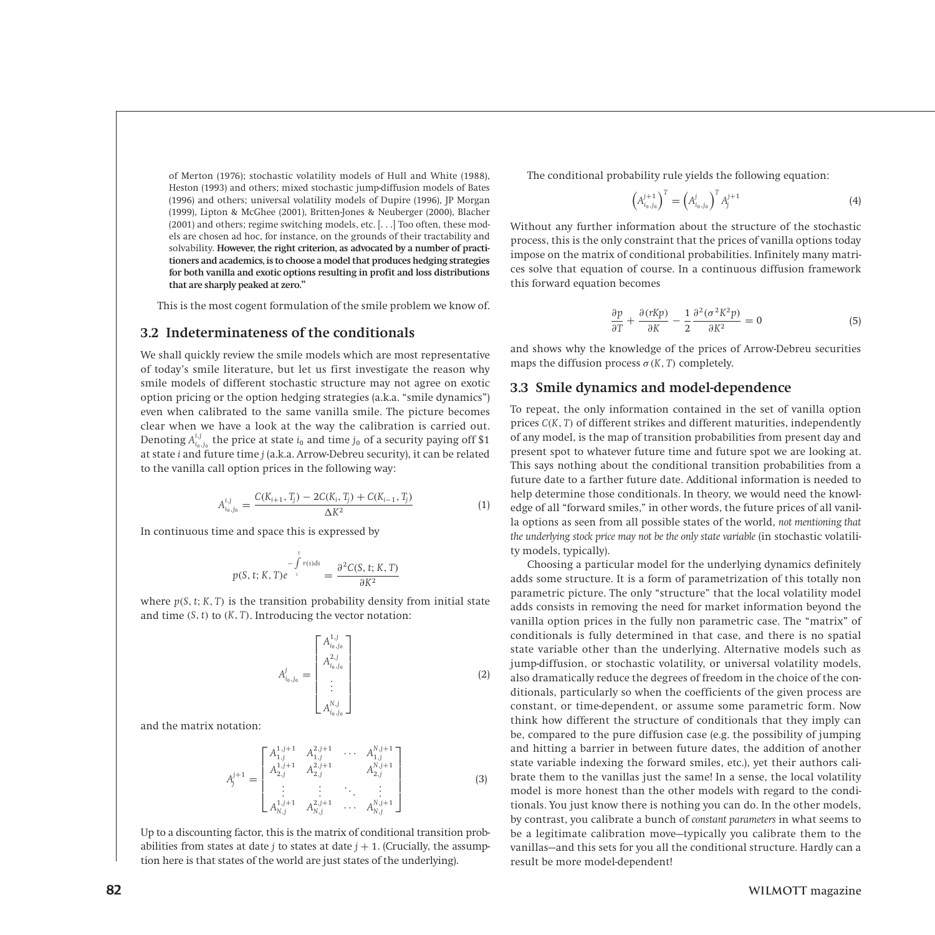of Merton (1976); stochastic volatility models of Hull and White (1988), Heston (1993) and others; mixed stochastic jump-diffusion models of Bates (1996) and others; universal volatility models of Dupire (1996), JP Morgan (1999), Lipton & McGhee (2001), Britten-Jones & Neuberger (2000), Blacher (2001) and others; regime switching models, etc. [*...*] Too often, these models are chosen ad hoc, for instance, on the grounds of their tractability and solvability. **However, the right criterion, as advocated by a number of practitioners and academics, is to choose a model that produces hedging strategies for both vanilla and exotic options resulting in profit and loss distributions that are sharply peaked at zero."**

This is the most cogent formulation of the smile problem we know of.

#### **3.2 Indeterminateness of the conditionals**

We shall quickly review the smile models which are most representative of today's smile literature, but let us first investigate the reason why smile models of different stochastic structure may not agree on exotic option pricing or the option hedging strategies (a.k.a. "smile dynamics") even when calibrated to the same vanilla smile. The picture becomes clear when we have a look at the way the calibration is carried out. Denoting  $A^{i,j}_{i_0,j_0}$  the price at state  $i_0$  and time  $j_0$  of a security paying off \$1 at state *i* and future time *j* (a.k.a. Arrow-Debreu security), it can be related to the vanilla call option prices in the following way:

$$
A_{i_0,j_0}^{i,j} = \frac{C(K_{i+1}, T_j) - 2C(K_i, T_j) + C(K_{i-1}, T_j)}{\Delta K^2}
$$
\n(1)

In continuous time and space this is expressed by

$$
p(S, t; K, T)e^{-\int_{t}^{T} r(s)ds} = \frac{\partial^{2} C(S, t; K, T)}{\partial K^{2}}
$$

where  $p(S, t; K, T)$  is the transition probability density from initial state and time *(S, t)* to *(K, T)*. Introducing the vector notation:

$$
A_{i_0,j_0}^j = \begin{bmatrix} A_{i_0,j_0}^{1,j} \\ A_{i_0,j_0}^{2,j} \\ \vdots \\ A_{i_0,j_0}^{N,j} \end{bmatrix}
$$

(2)

and the matrix notation:

$$
A_{j}^{j+1} = \begin{bmatrix} A_{1,j+1}^{1,j+1} & A_{1,j}^{2,j+1} & \cdots & A_{1,j}^{N,j+1} \\ A_{2,j}^{1,j+1} & A_{2,j}^{2,j+1} & A_{2,j}^{N,j+1} \\ \vdots & \vdots & \ddots & \vdots \\ A_{N,j}^{1,j+1} & A_{N,j}^{2,j+1} & \cdots & A_{N,j}^{N,j+1} \end{bmatrix}
$$
(3)

Up to a discounting factor, this is the matrix of conditional transition probabilities from states at date *j* to states at date  $j + 1$ . (Crucially, the assumption here is that states of the world are just states of the underlying).

The conditional probability rule yields the following equation:

$$
\left(A_{i_0,j_0}^{j+1}\right)^T = \left(A_{i_0,j_0}^j\right)^T A_j^{j+1}
$$
\n(4)

Without any further information about the structure of the stochastic process, this is the only constraint that the prices of vanilla options today impose on the matrix of conditional probabilities. Infinitely many matrices solve that equation of course. In a continuous diffusion framework this forward equation becomes

$$
\frac{\partial p}{\partial T} + \frac{\partial (rKp)}{\partial K} - \frac{1}{2} \frac{\partial^2 (\sigma^2 K^2 p)}{\partial K^2} = 0
$$
 (5)

and shows why the knowledge of the prices of Arrow-Debreu securities maps the diffusion process  $\sigma$  (*K*, *T*) completely.

#### **3.3 Smile dynamics and model-dependence**

To repeat, the only information contained in the set of vanilla option prices *C(K, T)* of different strikes and different maturities, independently of any model, is the map of transition probabilities from present day and present spot to whatever future time and future spot we are looking at. This says nothing about the conditional transition probabilities from a future date to a farther future date. Additional information is needed to help determine those conditionals. In theory, we would need the knowledge of all "forward smiles," in other words, the future prices of all vanilla options as seen from all possible states of the world, *not mentioning that the underlying stock price may not be the only state variable* (in stochastic volatility models, typically).

Choosing a particular model for the underlying dynamics definitely adds some structure. It is a form of parametrization of this totally non parametric picture. The only "structure" that the local volatility model adds consists in removing the need for market information beyond the vanilla option prices in the fully non parametric case. The "matrix" of conditionals is fully determined in that case, and there is no spatial state variable other than the underlying. Alternative models such as jump-diffusion, or stochastic volatility, or universal volatility models, also dramatically reduce the degrees of freedom in the choice of the conditionals, particularly so when the coefficients of the given process are constant, or time-dependent, or assume some parametric form. Now think how different the structure of conditionals that they imply can be, compared to the pure diffusion case (e.g. the possibility of jumping and hitting a barrier in between future dates, the addition of another state variable indexing the forward smiles, etc.), yet their authors calibrate them to the vanillas just the same! In a sense, the local volatility model is more honest than the other models with regard to the conditionals. You just know there is nothing you can do. In the other models, by contrast, you calibrate a bunch of *constant parameters* in what seems to be a legitimate calibration move—typically you calibrate them to the vanillas—and this sets for you all the conditional structure. Hardly can a result be more model-dependent!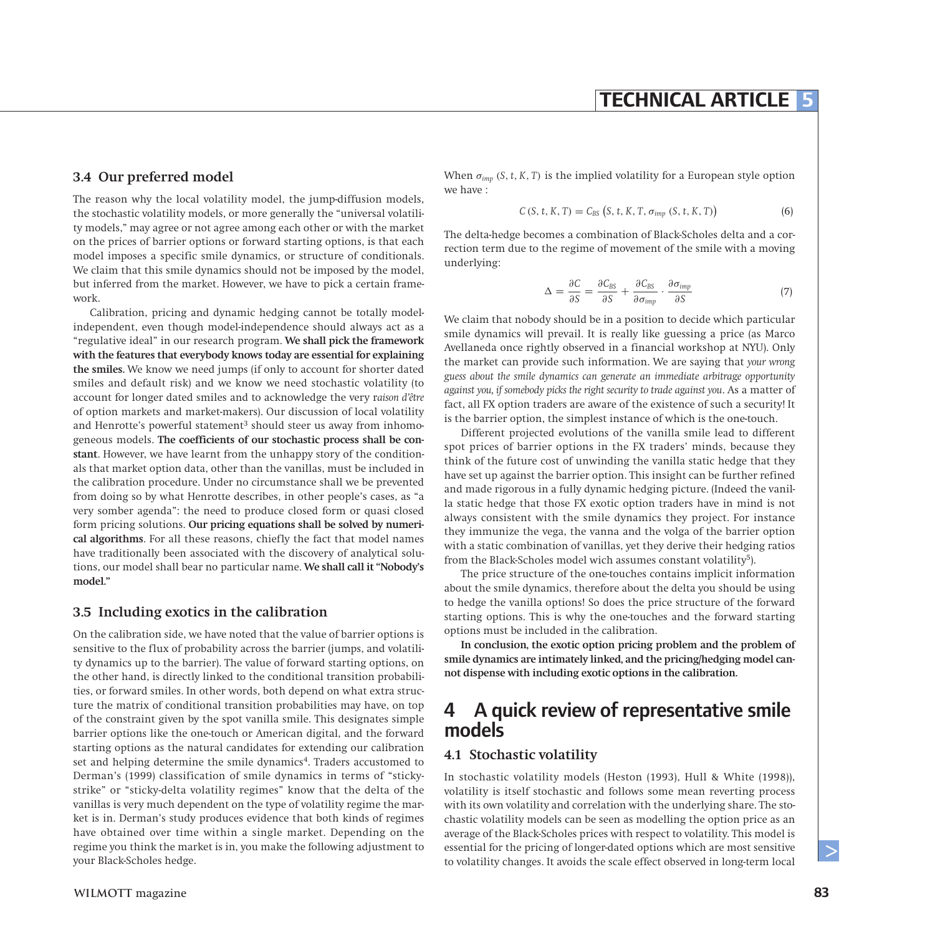#### **3.4 Our preferred model**

The reason why the local volatility model, the jump-diffusion models, the stochastic volatility models, or more generally the "universal volatility models," may agree or not agree among each other or with the market on the prices of barrier options or forward starting options, is that each model imposes a specific smile dynamics, or structure of conditionals. We claim that this smile dynamics should not be imposed by the model, but inferred from the market. However, we have to pick a certain framework.

Calibration, pricing and dynamic hedging cannot be totally modelindependent, even though model-independence should always act as a "regulative ideal" in our research program. **We shall pick the framework with the features that everybody knows today are essential for explaining the smiles.** We know we need jumps (if only to account for shorter dated smiles and default risk) and we know we need stochastic volatility (to account for longer dated smiles and to acknowledge the very r*aison d'être* of option markets and market-makers). Our discussion of local volatility and Henrotte's powerful statement<sup>3</sup> should steer us away from inhomogeneous models. **The coefficients of our stochastic process shall be constant**. However, we have learnt from the unhappy story of the conditionals that market option data, other than the vanillas, must be included in the calibration procedure. Under no circumstance shall we be prevented from doing so by what Henrotte describes, in other people's cases, as "a very somber agenda": the need to produce closed form or quasi closed form pricing solutions. **Our pricing equations shall be solved by numerical algorithms**. For all these reasons, chiefly the fact that model names have traditionally been associated with the discovery of analytical solutions, our model shall bear no particular name. **We shall call it "Nobody's model."**

#### **3.5 Including exotics in the calibration**

On the calibration side, we have noted that the value of barrier options is sensitive to the flux of probability across the barrier (jumps, and volatility dynamics up to the barrier). The value of forward starting options, on the other hand, is directly linked to the conditional transition probabilities, or forward smiles. In other words, both depend on what extra structure the matrix of conditional transition probabilities may have, on top of the constraint given by the spot vanilla smile. This designates simple barrier options like the one-touch or American digital, and the forward starting options as the natural candidates for extending our calibration set and helping determine the smile dynamics<sup>4</sup>. Traders accustomed to Derman's (1999) classification of smile dynamics in terms of "stickystrike" or "sticky-delta volatility regimes" know that the delta of the vanillas is very much dependent on the type of volatility regime the market is in. Derman's study produces evidence that both kinds of regimes have obtained over time within a single market. Depending on the regime you think the market is in, you make the following adjustment to your Black-Scholes hedge.

When  $\sigma_{imp}$  (S, t, K, T) is the implied volatility for a European style option we have :

$$
C(S, t, K, T) = C_{BS} (S, t, K, T, \sigma_{imp} (S, t, K, T))
$$
 (6)

The delta-hedge becomes a combination of Black-Scholes delta and a correction term due to the regime of movement of the smile with a moving underlying:

$$
\Delta = \frac{\partial C}{\partial S} = \frac{\partial C_{BS}}{\partial S} + \frac{\partial C_{BS}}{\partial \sigma_{imp}} \cdot \frac{\partial \sigma_{imp}}{\partial S}
$$
(7)

We claim that nobody should be in a position to decide which particular smile dynamics will prevail. It is really like guessing a price (as Marco Avellaneda once rightly observed in a financial workshop at NYU). Only the market can provide such information. We are saying that *your wrong guess about the smile dynamics can generate an immediate arbitrage opportunity against you, if somebody picks the right security to trade against you*. As a matter of fact, all FX option traders are aware of the existence of such a security! It is the barrier option, the simplest instance of which is the one-touch.

Different projected evolutions of the vanilla smile lead to different spot prices of barrier options in the FX traders' minds, because they think of the future cost of unwinding the vanilla static hedge that they have set up against the barrier option. This insight can be further refined and made rigorous in a fully dynamic hedging picture. (Indeed the vanilla static hedge that those FX exotic option traders have in mind is not always consistent with the smile dynamics they project. For instance they immunize the vega, the vanna and the volga of the barrier option with a static combination of vanillas, yet they derive their hedging ratios from the Black-Scholes model wich assumes constant volatility5).

The price structure of the one-touches contains implicit information about the smile dynamics, therefore about the delta you should be using to hedge the vanilla options! So does the price structure of the forward starting options. This is why the one-touches and the forward starting options must be included in the calibration.

**In conclusion, the exotic option pricing problem and the problem of smile dynamics are intimately linked, and the pricing/hedging model cannot dispense with including exotic options in the calibration.**

# 4 A quick review of representative smile models

## **4.1 Stochastic volatility**

In stochastic volatility models (Heston (1993), Hull & White (1998)), volatility is itself stochastic and follows some mean reverting process with its own volatility and correlation with the underlying share. The stochastic volatility models can be seen as modelling the option price as an average of the Black-Scholes prices with respect to volatility. This model is essential for the pricing of longer-dated options which are most sensitive to volatility changes. It avoids the scale effect observed in long-term local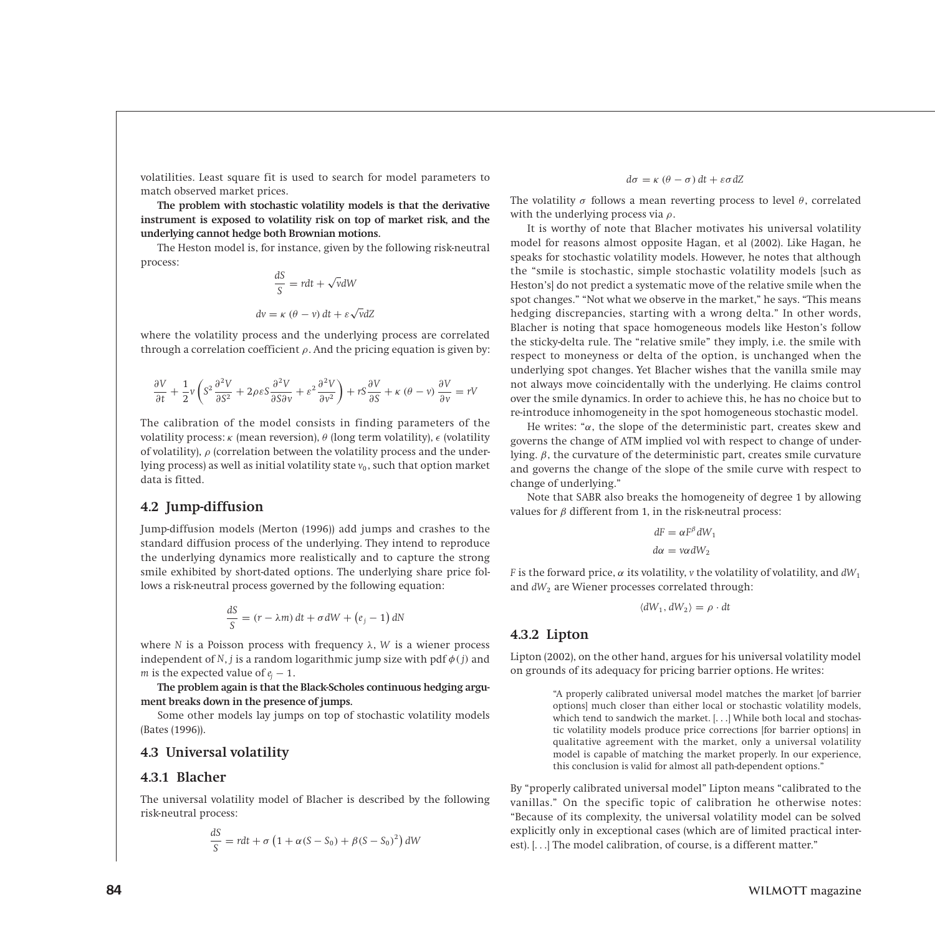volatilities. Least square fit is used to search for model parameters to match observed market prices.

**The problem with stochastic volatility models is that the derivative instrument is exposed to volatility risk on top of market risk, and the underlying cannot hedge both Brownian motions.**

The Heston model is, for instance, given by the following risk-neutral process:

$$
\frac{dS}{S} = rdt + \sqrt{v}dW
$$

$$
dv = \kappa (\theta - v) dt + \varepsilon \sqrt{v}dZ
$$

where the volatility process and the underlying process are correlated through a correlation coefficient *ρ*. And the pricing equation is given by:

$$
\frac{\partial V}{\partial t} + \frac{1}{2} \nu \left( S^2 \frac{\partial^2 V}{\partial S^2} + 2 \rho \varepsilon S \frac{\partial^2 V}{\partial S \partial \nu} + \varepsilon^2 \frac{\partial^2 V}{\partial \nu^2} \right) + r S \frac{\partial V}{\partial S} + \kappa (\theta - \nu) \frac{\partial V}{\partial \nu} = r V
$$

The calibration of the model consists in finding parameters of the volatility process: *κ* (mean reversion),  $θ$  (long term volatility),  $ε$  (volatility of volatility),  $\rho$  (correlation between the volatility process and the underlying process) as well as initial volatility state  $v_0$ , such that option market data is fitted.

## **4.2 Jump-diffusion**

Jump-diffusion models (Merton (1996)) add jumps and crashes to the standard diffusion process of the underlying. They intend to reproduce the underlying dynamics more realistically and to capture the strong smile exhibited by short-dated options. The underlying share price follows a risk-neutral process governed by the following equation:

$$
\frac{dS}{S} = (r - \lambda m) dt + \sigma dW + (e_j - 1) dN
$$

where *N* is a Poisson process with frequency *λ*, *W* is a wiener process independent of *N*, *j* is a random logarithmic jump size with pdf  $\phi$  (*j*) and *m* is the expected value of  $e_i - 1$ .

**The problem again is that the Black-Scholes continuous hedging argument breaks down in the presence of jumps.**

Some other models lay jumps on top of stochastic volatility models (Bates (1996)).

#### **4.3 Universal volatility**

#### **4.3.1 Blacher**

The universal volatility model of Blacher is described by the following risk-neutral process:

$$
\frac{dS}{S} = rdt + \sigma \left( 1 + \alpha (S - S_0) + \beta (S - S_0)^2 \right) dW
$$

$$
d\sigma = \kappa (\theta - \sigma) dt + \varepsilon \sigma dZ
$$

The volatility  $\sigma$  follows a mean reverting process to level  $\theta$ , correlated with the underlying process via *ρ*.

It is worthy of note that Blacher motivates his universal volatility model for reasons almost opposite Hagan, et al (2002). Like Hagan, he speaks for stochastic volatility models. However, he notes that although the "smile is stochastic, simple stochastic volatility models [such as Heston's] do not predict a systematic move of the relative smile when the spot changes." "Not what we observe in the market," he says. "This means hedging discrepancies, starting with a wrong delta." In other words, Blacher is noting that space homogeneous models like Heston's follow the sticky-delta rule. The "relative smile" they imply, i.e. the smile with respect to moneyness or delta of the option, is unchanged when the underlying spot changes. Yet Blacher wishes that the vanilla smile may not always move coincidentally with the underlying. He claims control over the smile dynamics. In order to achieve this, he has no choice but to re-introduce inhomogeneity in the spot homogeneous stochastic model.

He writes: " $\alpha$ , the slope of the deterministic part, creates skew and governs the change of ATM implied vol with respect to change of underlying. *β*, the curvature of the deterministic part, creates smile curvature and governs the change of the slope of the smile curve with respect to change of underlying."

Note that SABR also breaks the homogeneity of degree 1 by allowing values for *β* different from 1, in the risk-neutral process:

$$
dF = \alpha F^{\beta} dW_1
$$

$$
d\alpha = v\alpha dW_2
$$

*F* is the forward price,  $\alpha$  its volatility,  $\nu$  the volatility of volatility, and  $dW_1$ and  $dW_2$  are Wiener processes correlated through:

$$
\langle dW_1, dW_2 \rangle = \rho \cdot dt
$$

## **4.3.2 Lipton**

Lipton (2002), on the other hand, argues for his universal volatility model on grounds of its adequacy for pricing barrier options. He writes:

> "A properly calibrated universal model matches the market [of barrier options] much closer than either local or stochastic volatility models, which tend to sandwich the market. [*...*] While both local and stochastic volatility models produce price corrections [for barrier options] in qualitative agreement with the market, only a universal volatility model is capable of matching the market properly. In our experience, this conclusion is valid for almost all path-dependent options."

By "properly calibrated universal model" Lipton means "calibrated to the vanillas." On the specific topic of calibration he otherwise notes: "Because of its complexity, the universal volatility model can be solved explicitly only in exceptional cases (which are of limited practical interest). [*...*] The model calibration, of course, is a different matter."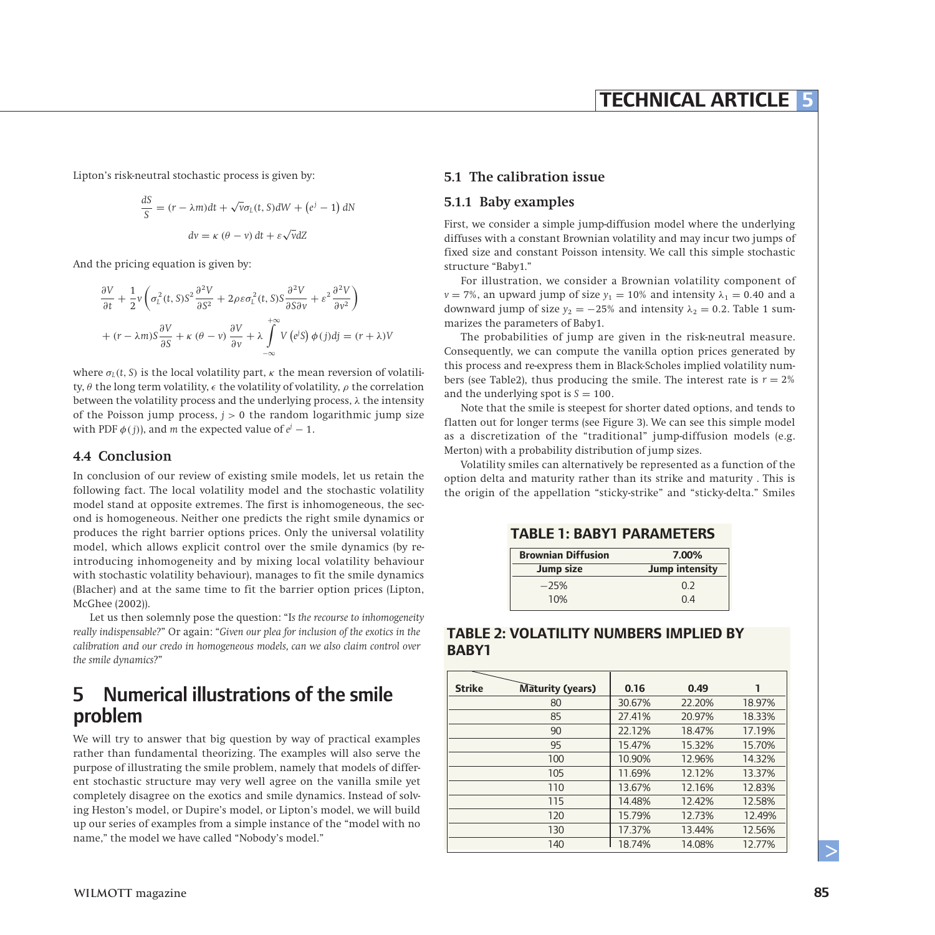Lipton's risk-neutral stochastic process is given by:

$$
\frac{dS}{S} = (r - \lambda m)dt + \sqrt{v}\sigma_L(t, S)dW + (e^j - 1) dN
$$

$$
dv = \kappa (\theta - v) dt + \varepsilon \sqrt{v} dZ
$$

And the pricing equation is given by:

$$
\frac{\partial V}{\partial t} + \frac{1}{2}v \left( \sigma_L^2(t, S) S^2 \frac{\partial^2 V}{\partial S^2} + 2 \rho \varepsilon \sigma_L^2(t, S) S \frac{\partial^2 V}{\partial S \partial v} + \varepsilon^2 \frac{\partial^2 V}{\partial v^2} \right) \n+ (r - \lambda m) S \frac{\partial V}{\partial S} + \kappa (\theta - v) \frac{\partial V}{\partial v} + \lambda \int_{-\infty}^{+\infty} V(e^i S) \phi(j) dj = (r + \lambda) V
$$

where  $\sigma$ <sup>L</sup>(*t*, *S*) is the local volatility part, *κ* the mean reversion of volatility,  $θ$  the long term volatility,  $\epsilon$  the volatility of volatility,  $ρ$  the correlation between the volatility process and the underlying process, *λ* the intensity of the Poisson jump process,  $j > 0$  the random logarithmic jump size with PDF  $\phi$  (*j*)), and *m* the expected value of  $e^{j} - 1$ .

#### **4.4 Conclusion**

In conclusion of our review of existing smile models, let us retain the following fact. The local volatility model and the stochastic volatility model stand at opposite extremes. The first is inhomogeneous, the second is homogeneous. Neither one predicts the right smile dynamics or produces the right barrier options prices. Only the universal volatility model, which allows explicit control over the smile dynamics (by reintroducing inhomogeneity and by mixing local volatility behaviour with stochastic volatility behaviour), manages to fit the smile dynamics (Blacher) and at the same time to fit the barrier option prices (Lipton, McGhee (2002)).

Let us then solemnly pose the question: "I*s the recourse to inhomogeneity really indispensable?*" Or again: "*Given our plea for inclusion of the exotics in the calibration and our credo in homogeneous models, can we also claim control over the smile dynamics?*"

# 5 Numerical illustrations of the smile problem

We will try to answer that big question by way of practical examples rather than fundamental theorizing. The examples will also serve the purpose of illustrating the smile problem, namely that models of different stochastic structure may very well agree on the vanilla smile yet completely disagree on the exotics and smile dynamics. Instead of solving Heston's model, or Dupire's model, or Lipton's model, we will build up our series of examples from a simple instance of the "model with no name," the model we have called "Nobody's model."

#### **5.1 The calibration issue**

#### **5.1.1 Baby examples**

First, we consider a simple jump-diffusion model where the underlying diffuses with a constant Brownian volatility and may incur two jumps of fixed size and constant Poisson intensity. We call this simple stochastic structure "Baby1."

For illustration, we consider a Brownian volatility component of  $v = 7\%$ , an upward jump of size  $y_1 = 10\%$  and intensity  $\lambda_1 = 0.40$  and a downward jump of size  $y_2 = -25\%$  and intensity  $\lambda_2 = 0.2$ . Table 1 summarizes the parameters of Baby1.

The probabilities of jump are given in the risk-neutral measure. Consequently, we can compute the vanilla option prices generated by this process and re-express them in Black-Scholes implied volatility numbers (see Table2), thus producing the smile. The interest rate is  $r = 2\%$ and the underlying spot is  $S = 100$ .

Note that the smile is steepest for shorter dated options, and tends to flatten out for longer terms (see Figure 3). We can see this simple model as a discretization of the "traditional" jump-diffusion models (e.g. Merton) with a probability distribution of jump sizes.

Volatility smiles can alternatively be represented as a function of the option delta and maturity rather than its strike and maturity . This is the origin of the appellation "sticky-strike" and "sticky-delta." Smiles

| <b>Brownian Diffusion</b> | 7.00%                 |  |  |  |  |
|---------------------------|-----------------------|--|--|--|--|
| <b>Jump size</b>          | <b>Jump intensity</b> |  |  |  |  |
| $-25%$                    | 02                    |  |  |  |  |
| 10%                       | 0 <sup>4</sup>        |  |  |  |  |

## **TABLE 2: VOLATILITY NUMBERS IMPLIED BY BABY1**

| <b>Strike</b> | Maturity (years) | 0.16   | 0.49   | 1      |
|---------------|------------------|--------|--------|--------|
|               | 80               | 30.67% | 22.20% | 18.97% |
|               | 85               | 27.41% | 20.97% | 18.33% |
|               | 90               | 22.12% | 18.47% | 17.19% |
|               | 95               | 15.47% | 15.32% | 15.70% |
|               | 100              | 10.90% | 12.96% | 14.32% |
|               | 105              | 11.69% | 12.12% | 13.37% |
|               | 110              | 13.67% | 12.16% | 12.83% |
|               | 115              | 14.48% | 12.42% | 12.58% |
|               | 120              | 15.79% | 12.73% | 12.49% |
|               | 130              | 17.37% | 13.44% | 12.56% |
|               | 140              | 18.74% | 14.08% | 12.77% |

**Wilmott** magazine **85**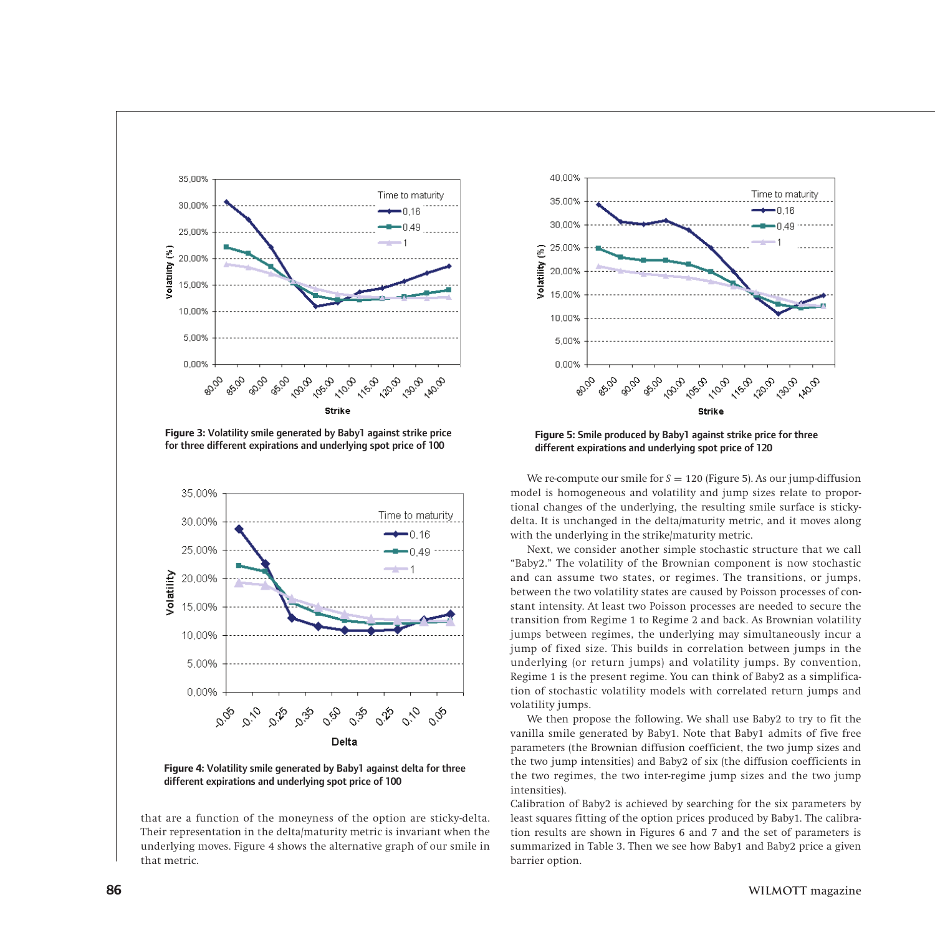

**Figure 3:** Volatility smile generated by Baby1 against strike price for three different expirations and underlying spot price of 100





that are a function of the moneyness of the option are sticky-delta. Their representation in the delta/maturity metric is invariant when the underlying moves. Figure 4 shows the alternative graph of our smile in that metric.



**Figure 5:** Smile produced by Baby1 against strike price for three different expirations and underlying spot price of 120

We re-compute our smile for *S* = 120 (Figure 5). As our jump-diffusion model is homogeneous and volatility and jump sizes relate to proportional changes of the underlying, the resulting smile surface is stickydelta. It is unchanged in the delta/maturity metric, and it moves along with the underlying in the strike/maturity metric.

Next, we consider another simple stochastic structure that we call "Baby2." The volatility of the Brownian component is now stochastic and can assume two states, or regimes. The transitions, or jumps, between the two volatility states are caused by Poisson processes of constant intensity. At least two Poisson processes are needed to secure the transition from Regime 1 to Regime 2 and back. As Brownian volatility jumps between regimes, the underlying may simultaneously incur a jump of fixed size. This builds in correlation between jumps in the underlying (or return jumps) and volatility jumps. By convention, Regime 1 is the present regime. You can think of Baby2 as a simplification of stochastic volatility models with correlated return jumps and volatility jumps.

We then propose the following. We shall use Baby2 to try to fit the vanilla smile generated by Baby1. Note that Baby1 admits of five free parameters (the Brownian diffusion coefficient, the two jump sizes and the two jump intensities) and Baby2 of six (the diffusion coefficients in the two regimes, the two inter-regime jump sizes and the two jump intensities).

Calibration of Baby2 is achieved by searching for the six parameters by least squares fitting of the option prices produced by Baby1. The calibration results are shown in Figures 6 and 7 and the set of parameters is summarized in Table 3. Then we see how Baby1 and Baby2 price a given barrier option.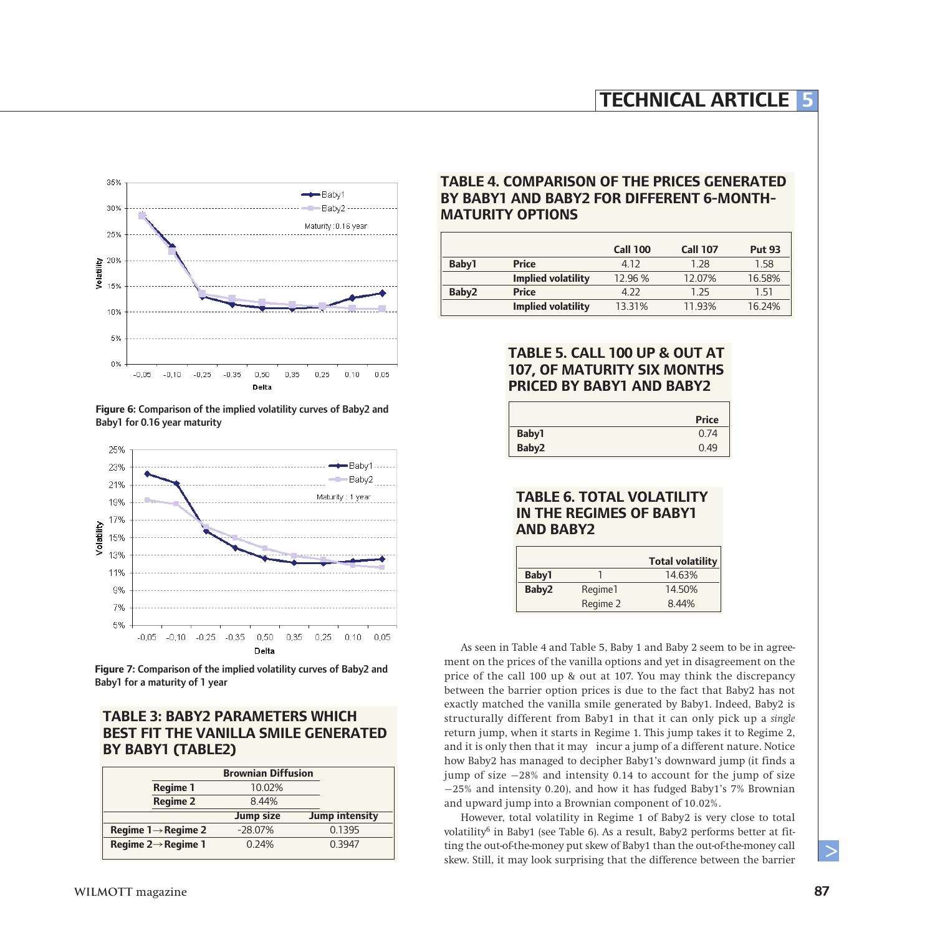![](_page_9_Figure_1.jpeg)

**Figure 6:** Comparison of the implied volatility curves of Baby2 and Baby1 for 0.16 year maturity

![](_page_9_Figure_3.jpeg)

**Figure 7:** Comparison of the implied volatility curves of Baby2 and Baby1 for a maturity of 1 year

# **TABLE 3: BABY2 PARAMETERS WHICH BEST FIT THE VANILLA SMILE GENERATED BY BABY1 (TABLE2)**

|                                 | <b>Brownian Diffusion</b> |                       |  |  |  |  |
|---------------------------------|---------------------------|-----------------------|--|--|--|--|
| <b>Regime 1</b>                 | 10.02%                    |                       |  |  |  |  |
| <b>Regime 2</b>                 | 8.44%                     |                       |  |  |  |  |
|                                 | <b>Jump size</b>          | <b>Jump intensity</b> |  |  |  |  |
| Regime $1 \rightarrow$ Regime 2 | $-28.07%$                 | 0.1395                |  |  |  |  |
| Regime $2 \rightarrow$ Regime 1 | 0.24%                     | 0.3947                |  |  |  |  |

# **TABLE 4. COMPARISON OF THE PRICES GENERATED BY BABY1 AND BABY2 FOR DIFFERENT 6-MONTH-MATURITY OPTIONS**

|       |                           | <b>Call 100</b> | <b>Call 107</b> | <b>Put 93</b> |
|-------|---------------------------|-----------------|-----------------|---------------|
| Baby1 | <b>Price</b>              | 4.12            | 1.28            | 1.58          |
|       | <b>Implied volatility</b> | 12.96 %         | 12.07%          | 16.58%        |
| Baby2 | <b>Price</b>              | 4.22            | 1.25            | 1.51          |
|       | <b>Implied volatility</b> | 13.31%          | 11.93%          | 16.24%        |

# **TABLE 5. CALL 100 UP & OUT AT 107, OF MATURITY SIX MONTHS PRICED BY BABY1 AND BABY2**

|       | <b>Price</b> |
|-------|--------------|
| Baby1 | 0.74         |
| Baby2 | 0.49         |

# **TABLE 6. TOTAL VOLATILITY IN THE REGIMES OF BABY1 AND BABY2**

|       |          | <b>Total volatility</b> |
|-------|----------|-------------------------|
| Baby1 |          | 14.63%                  |
| Baby2 | Regime1  | 14.50%                  |
|       | Regime 2 | 8.44%                   |

As seen in Table 4 and Table 5, Baby 1 and Baby 2 seem to be in agreement on the prices of the vanilla options and yet in disagreement on the price of the call 100 up & out at 107. You may think the discrepancy between the barrier option prices is due to the fact that Baby2 has not exactly matched the vanilla smile generated by Baby1. Indeed, Baby2 is structurally different from Baby1 in that it can only pick up a *single* return jump, when it starts in Regime 1. This jump takes it to Regime 2, and it is only then that it may incur a jump of a different nature. Notice how Baby2 has managed to decipher Baby1's downward jump (it finds a jump of size −28% and intensity 0*.*14 to account for the jump of size −25% and intensity 0*.*20), and how it has fudged Baby1's 7% Brownian and upward jump into a Brownian component of 10*.*02%.

However, total volatility in Regime 1 of Baby2 is very close to total volatility<sup>6</sup> in Baby1 (see Table 6). As a result, Baby2 performs better at fitting the out-of-the-money put skew of Baby1 than the out-of-the-money call skew. Still, it may look surprising that the difference between the barrier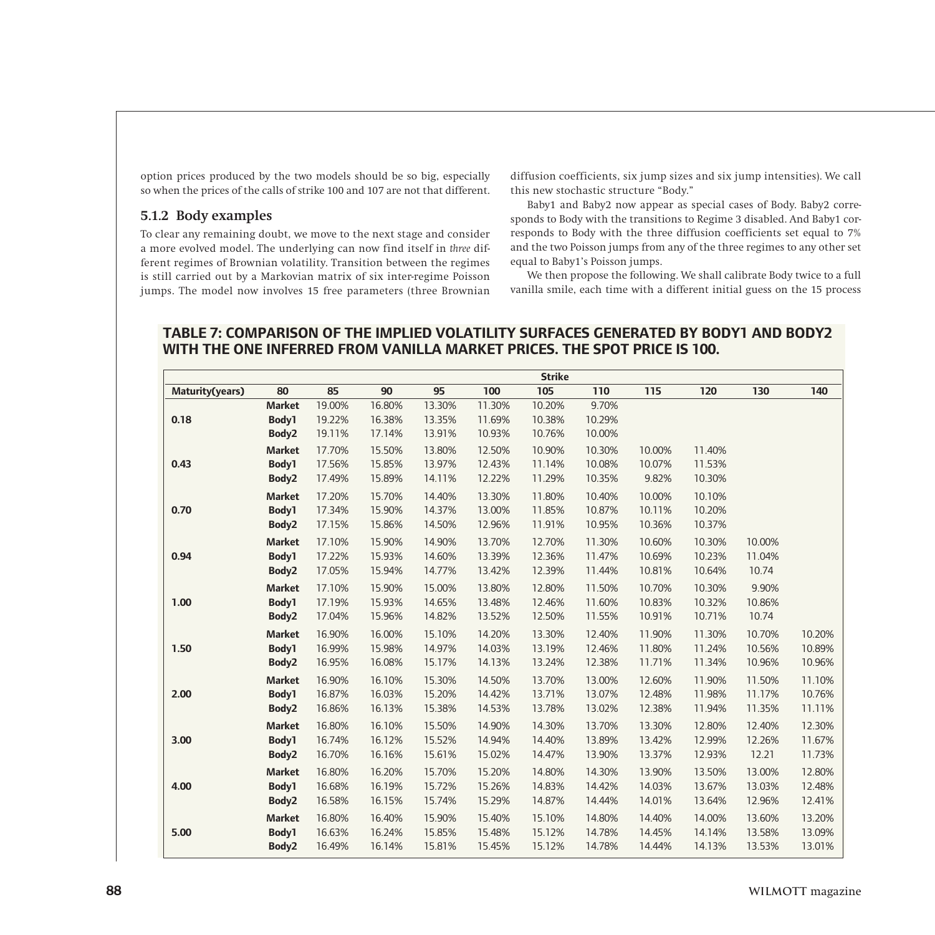option prices produced by the two models should be so big, especially so when the prices of the calls of strike 100 and 107 are not that different.

## **5.1.2 Body examples**

To clear any remaining doubt, we move to the next stage and consider a more evolved model. The underlying can now find itself in *three* different regimes of Brownian volatility. Transition between the regimes is still carried out by a Markovian matrix of six inter-regime Poisson jumps. The model now involves 15 free parameters (three Brownian diffusion coefficients, six jump sizes and six jump intensities). We call this new stochastic structure "Body."

Baby1 and Baby2 now appear as special cases of Body. Baby2 corresponds to Body with the transitions to Regime 3 disabled. And Baby1 corresponds to Body with the three diffusion coefficients set equal to 7% and the two Poisson jumps from any of the three regimes to any other set equal to Baby1's Poisson jumps.

We then propose the following. We shall calibrate Body twice to a full vanilla smile, each time with a different initial guess on the 15 process

# **TABLE 7: COMPARISON OF THE IMPLIED VOLATILITY SURFACES GENERATED BY BODY1 AND BODY2 WITH THE ONE INFERRED FROM VANILLA MARKET PRICES. THE SPOT PRICE IS 100.**

|                 |               |        |        |        |        | <b>Strike</b> |        |        |        |        |        |
|-----------------|---------------|--------|--------|--------|--------|---------------|--------|--------|--------|--------|--------|
| Maturity(years) | 80            | 85     | 90     | 95     | 100    | 105           | 110    | 115    | 120    | 130    | 140    |
|                 | <b>Market</b> | 19.00% | 16.80% | 13.30% | 11.30% | 10.20%        | 9.70%  |        |        |        |        |
| 0.18            | Body1         | 19.22% | 16.38% | 13.35% | 11.69% | 10.38%        | 10.29% |        |        |        |        |
|                 | Body2         | 19.11% | 17.14% | 13.91% | 10.93% | 10.76%        | 10.00% |        |        |        |        |
|                 | <b>Market</b> | 17.70% | 15.50% | 13.80% | 12.50% | 10.90%        | 10.30% | 10.00% | 11.40% |        |        |
| 0.43            | Body1         | 17.56% | 15.85% | 13.97% | 12.43% | 11.14%        | 10.08% | 10.07% | 11.53% |        |        |
|                 | Body2         | 17.49% | 15.89% | 14.11% | 12.22% | 11.29%        | 10.35% | 9.82%  | 10.30% |        |        |
|                 | <b>Market</b> | 17.20% | 15.70% | 14.40% | 13.30% | 11.80%        | 10.40% | 10.00% | 10.10% |        |        |
| 0.70            | Body1         | 17.34% | 15.90% | 14.37% | 13.00% | 11.85%        | 10.87% | 10.11% | 10.20% |        |        |
|                 | Body2         | 17.15% | 15.86% | 14.50% | 12.96% | 11.91%        | 10.95% | 10.36% | 10.37% |        |        |
|                 | <b>Market</b> | 17.10% | 15.90% | 14.90% | 13.70% | 12.70%        | 11.30% | 10.60% | 10.30% | 10.00% |        |
| 0.94            | Body1         | 17.22% | 15.93% | 14.60% | 13.39% | 12.36%        | 11.47% | 10.69% | 10.23% | 11.04% |        |
|                 | Body2         | 17.05% | 15.94% | 14.77% | 13.42% | 12.39%        | 11.44% | 10.81% | 10.64% | 10.74  |        |
|                 | <b>Market</b> | 17.10% | 15.90% | 15.00% | 13.80% | 12.80%        | 11.50% | 10.70% | 10.30% | 9.90%  |        |
| 1.00            | Body1         | 17.19% | 15.93% | 14.65% | 13.48% | 12.46%        | 11.60% | 10.83% | 10.32% | 10.86% |        |
|                 | Body2         | 17.04% | 15.96% | 14.82% | 13.52% | 12.50%        | 11.55% | 10.91% | 10.71% | 10.74  |        |
|                 | <b>Market</b> | 16.90% | 16.00% | 15.10% | 14.20% | 13.30%        | 12.40% | 11.90% | 11.30% | 10.70% | 10.20% |
| 1.50            | Body1         | 16.99% | 15.98% | 14.97% | 14.03% | 13.19%        | 12.46% | 11.80% | 11.24% | 10.56% | 10.89% |
|                 | Body2         | 16.95% | 16.08% | 15.17% | 14.13% | 13.24%        | 12.38% | 11.71% | 11.34% | 10.96% | 10.96% |
|                 | <b>Market</b> | 16.90% | 16.10% | 15.30% | 14.50% | 13.70%        | 13.00% | 12.60% | 11.90% | 11.50% | 11.10% |
| 2.00            | Body1         | 16.87% | 16.03% | 15.20% | 14.42% | 13.71%        | 13.07% | 12.48% | 11.98% | 11.17% | 10.76% |
|                 | Body2         | 16.86% | 16.13% | 15.38% | 14.53% | 13.78%        | 13.02% | 12.38% | 11.94% | 11.35% | 11.11% |
|                 | <b>Market</b> | 16.80% | 16.10% | 15.50% | 14.90% | 14.30%        | 13.70% | 13.30% | 12.80% | 12.40% | 12.30% |
| 3.00            | Body1         | 16.74% | 16.12% | 15.52% | 14.94% | 14.40%        | 13.89% | 13.42% | 12.99% | 12.26% | 11.67% |
|                 | Body2         | 16.70% | 16.16% | 15.61% | 15.02% | 14.47%        | 13.90% | 13.37% | 12.93% | 12.21  | 11.73% |
|                 | <b>Market</b> | 16.80% | 16.20% | 15.70% | 15.20% | 14.80%        | 14.30% | 13.90% | 13.50% | 13.00% | 12.80% |
| 4.00            | Body1         | 16.68% | 16.19% | 15.72% | 15.26% | 14.83%        | 14.42% | 14.03% | 13.67% | 13.03% | 12.48% |
|                 | Body2         | 16.58% | 16.15% | 15.74% | 15.29% | 14.87%        | 14.44% | 14.01% | 13.64% | 12.96% | 12.41% |
|                 | <b>Market</b> | 16.80% | 16.40% | 15.90% | 15.40% | 15.10%        | 14.80% | 14.40% | 14.00% | 13.60% | 13.20% |
| 5.00            | Body1         | 16.63% | 16.24% | 15.85% | 15.48% | 15.12%        | 14.78% | 14.45% | 14.14% | 13.58% | 13.09% |
|                 | Body2         | 16.49% | 16.14% | 15.81% | 15.45% | 15.12%        | 14.78% | 14.44% | 14.13% | 13.53% | 13.01% |
|                 |               |        |        |        |        |               |        |        |        |        |        |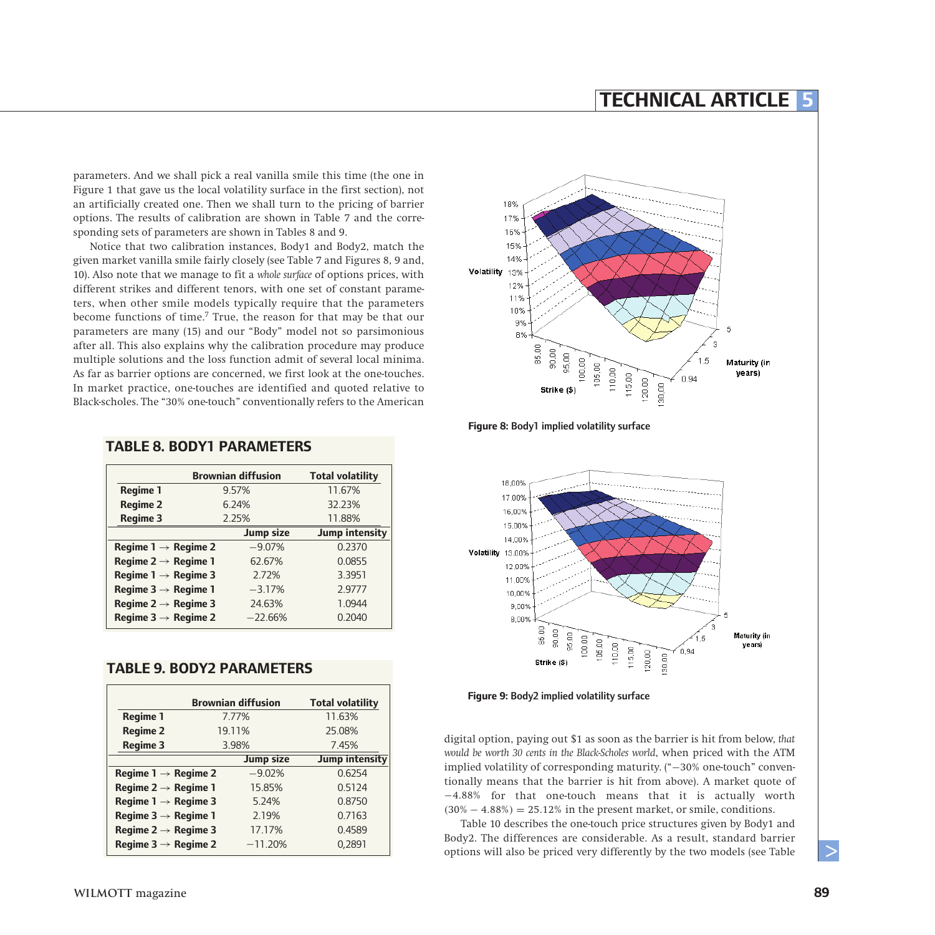parameters. And we shall pick a real vanilla smile this time (the one in Figure 1 that gave us the local volatility surface in the first section), not an artificially created one. Then we shall turn to the pricing of barrier options. The results of calibration are shown in Table 7 and the corresponding sets of parameters are shown in Tables 8 and 9.

Notice that two calibration instances, Body1 and Body2, match the given market vanilla smile fairly closely (see Table 7 and Figures 8, 9 and, 10). Also note that we manage to fit a *whole surface* of options prices, with different strikes and different tenors, with one set of constant parameters, when other smile models typically require that the parameters become functions of time.<sup>7</sup> True, the reason for that may be that our parameters are many (15) and our "Body" model not so parsimonious after all. This also explains why the calibration procedure may produce multiple solutions and the loss function admit of several local minima. As far as barrier options are concerned, we first look at the one-touches. In market practice, one-touches are identified and quoted relative to Black-scholes. The "30% one-touch" conventionally refers to the American

![](_page_11_Figure_3.jpeg)

#### **Figure 8:** Body1 implied volatility surface

![](_page_11_Figure_5.jpeg)

## **TABLE 8. BODY1 PARAMETERS**

|                                 | Brownian diffusion |                |  |  |  |
|---------------------------------|--------------------|----------------|--|--|--|
| <b>Regime 1</b>                 | 9.57%              | 11.67%         |  |  |  |
| <b>Regime 2</b>                 | 6.24%              | 32.23%         |  |  |  |
| <b>Regime 3</b>                 | 2.25%              | 11.88%         |  |  |  |
|                                 | <b>Jump size</b>   | Jump intensity |  |  |  |
| Regime $1 \rightarrow$ Regime 2 | $-9.07%$           | 0.2370         |  |  |  |
| Regime $2 \rightarrow$ Regime 1 | 62.67%             | 0.0855         |  |  |  |
| Regime $1 \rightarrow$ Regime 3 | 2.72%              | 3.3951         |  |  |  |
| Regime $3 \rightarrow$ Regime 1 | $-3.17%$           | 2.9777         |  |  |  |
| Regime $2 \rightarrow$ Regime 3 | 24.63%             | 1.0944         |  |  |  |
| Regime $3 \rightarrow$ Regime 2 | $-22.66%$          | 0.2040         |  |  |  |
|                                 |                    |                |  |  |  |

**Brownian diffusion Total volatility**

## **TABLE 9. BODY2 PARAMETERS**

|                                 | <b>Brownian diffusion</b> | <b>Total volatility</b> |
|---------------------------------|---------------------------|-------------------------|
| <b>Regime 1</b>                 | 7.77%                     | 11.63%                  |
| <b>Regime 2</b>                 | 19.11%                    | 25.08%                  |
| <b>Regime 3</b>                 | 3.98%                     | 7.45%                   |
|                                 | <b>Jump size</b>          | <b>Jump intensity</b>   |
| Regime $1 \rightarrow$ Regime 2 | $-9.02%$                  | 0.6254                  |
| Regime 2 $\rightarrow$ Regime 1 | 15.85%                    | 0.5124                  |
| Regime $1 \rightarrow$ Regime 3 | 5.24%                     | 0.8750                  |
| Regime $3 \rightarrow$ Regime 1 | 2.19%                     | 0.7163                  |
| Regime 2 $\rightarrow$ Regime 3 | 17.17%                    | 0.4589                  |
| Regime $3 \rightarrow$ Regime 2 | $-11.20%$                 | 0,2891                  |

#### **Figure 9:** Body2 implied volatility surface

digital option, paying out \$1 as soon as the barrier is hit from below, *that would be worth 30 cents in the Black-Scholes world*, when priced with the ATM implied volatility of corresponding maturity. ("−30% one-touch" conventionally means that the barrier is hit from above). A market quote of −4*.*88% for that one-touch means that it is actually worth *(*30% − 4*.*88%*)* = 25*.*12% in the present market, or smile, conditions.

Table 10 describes the one-touch price structures given by Body1 and Body2. The differences are considerable. As a result, standard barrier options will also be priced very differently by the two models (see Table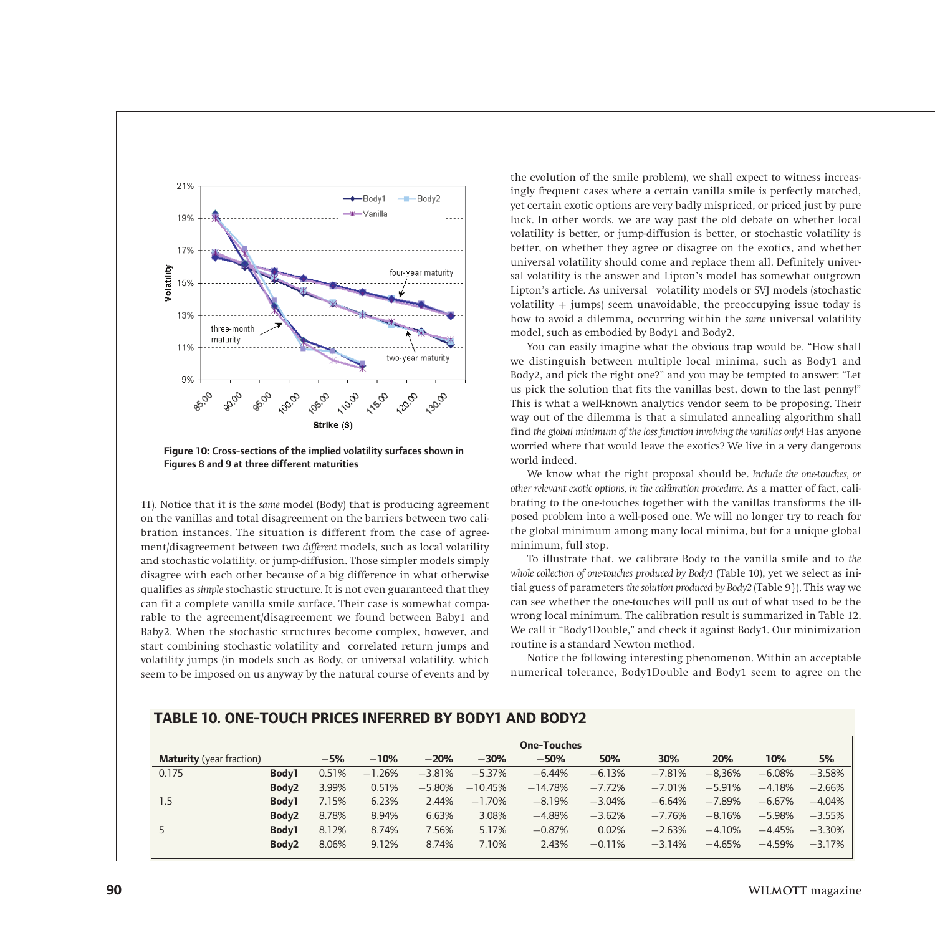![](_page_12_Figure_0.jpeg)

**Figure 10:** Cross-sections of the implied volatility surfaces shown in Figures 8 and 9 at three different maturities

11). Notice that it is the *same* model (Body) that is producing agreement on the vanillas and total disagreement on the barriers between two calibration instances. The situation is different from the case of agreement/disagreement between two *different* models, such as local volatility and stochastic volatility, or jump-diffusion. Those simpler models simply disagree with each other because of a big difference in what otherwise qualifies as *simple*stochastic structure. It is not even guaranteed that they can fit a complete vanilla smile surface. Their case is somewhat comparable to the agreement/disagreement we found between Baby1 and Baby2. When the stochastic structures become complex, however, and start combining stochastic volatility and correlated return jumps and volatility jumps (in models such as Body, or universal volatility, which seem to be imposed on us anyway by the natural course of events and by

the evolution of the smile problem), we shall expect to witness increasingly frequent cases where a certain vanilla smile is perfectly matched, yet certain exotic options are very badly mispriced, or priced just by pure luck. In other words, we are way past the old debate on whether local volatility is better, or jump-diffusion is better, or stochastic volatility is better, on whether they agree or disagree on the exotics, and whether universal volatility should come and replace them all. Definitely universal volatility is the answer and Lipton's model has somewhat outgrown Lipton's article. As universal volatility models or SVJ models (stochastic volatility  $+$  jumps) seem unavoidable, the preoccupying issue today is how to avoid a dilemma, occurring within the *same* universal volatility model, such as embodied by Body1 and Body2.

You can easily imagine what the obvious trap would be. "How shall we distinguish between multiple local minima, such as Body1 and Body2, and pick the right one?" and you may be tempted to answer: "Let us pick the solution that fits the vanillas best, down to the last penny!" This is what a well-known analytics vendor seem to be proposing. Their way out of the dilemma is that a simulated annealing algorithm shall find *the global minimum of the loss function involving the vanillas only!* Has anyone worried where that would leave the exotics? We live in a very dangerous world indeed.

We know what the right proposal should be. *Include the one-touches, or other relevant exotic options, in the calibration procedure.* As a matter of fact, calibrating to the one-touches together with the vanillas transforms the illposed problem into a well-posed one. We will no longer try to reach for the global minimum among many local minima, but for a unique global minimum, full stop.

To illustrate that, we calibrate Body to the vanilla smile and to *the whole collection of one-touches produced by Body1* (Table 10), yet we select as initial guess of parameters *the solution produced by Body2* (Table 9}). This way we can see whether the one-touches will pull us out of what used to be the wrong local minimum. The calibration result is summarized in Table 12. We call it "Body1Double," and check it against Body1. Our minimization routine is a standard Newton method.

Notice the following interesting phenomenon. Within an acceptable numerical tolerance, Body1Double and Body1 seem to agree on the

# **TABLE 10. ONE-TOUCH PRICES INFERRED BY BODY1 AND BODY2**

|                                 | <b>One-Touches</b> |       |          |          |           |           |          |          |          |          |           |
|---------------------------------|--------------------|-------|----------|----------|-----------|-----------|----------|----------|----------|----------|-----------|
| <b>Maturity</b> (year fraction) |                    | $-5%$ | $-10%$   | $-20%$   | $-30%$    | $-50%$    | 50%      | 30%      | 20%      | 10%      | 5%        |
| 0.175                           | Body1              | 0.51% | $-1.26%$ | $-3.81%$ | $-5.37%$  | $-6.44%$  | $-6.13%$ | $-7.81%$ | $-8.36%$ | $-6.08%$ | $-3.58\%$ |
|                                 | Body <sub>2</sub>  | 3.99% | 0.51%    | $-5.80%$ | $-10.45%$ | $-14.78%$ | $-7.72%$ | $-7.01%$ | $-5.91%$ | $-4.18%$ | $-2.66%$  |
| l.5                             | Body1              | 7.15% | 6.23%    | 2.44%    | $-1.70%$  | $-8.19%$  | $-3.04%$ | $-6.64%$ | $-7.89%$ | $-6.67%$ | $-4.04%$  |
|                                 | Body <sub>2</sub>  | 8.78% | 8.94%    | 6.63%    | 3.08%     | $-4.88%$  | $-3.62%$ | $-7.76%$ | $-8.16%$ | $-5.98%$ | $-3.55%$  |
|                                 | Body1              | 8.12% | 8.74%    | 7.56%    | 5.17%     | $-0.87%$  | 0.02%    | $-2.63%$ | $-4.10%$ | $-4.45%$ | $-3.30\%$ |
|                                 | Body2              | 8.06% | 9.12%    | 8.74%    | 7.10%     | 2.43%     | $-0.11%$ | $-3.14%$ | $-4.65%$ | $-4.59%$ | $-3.17\%$ |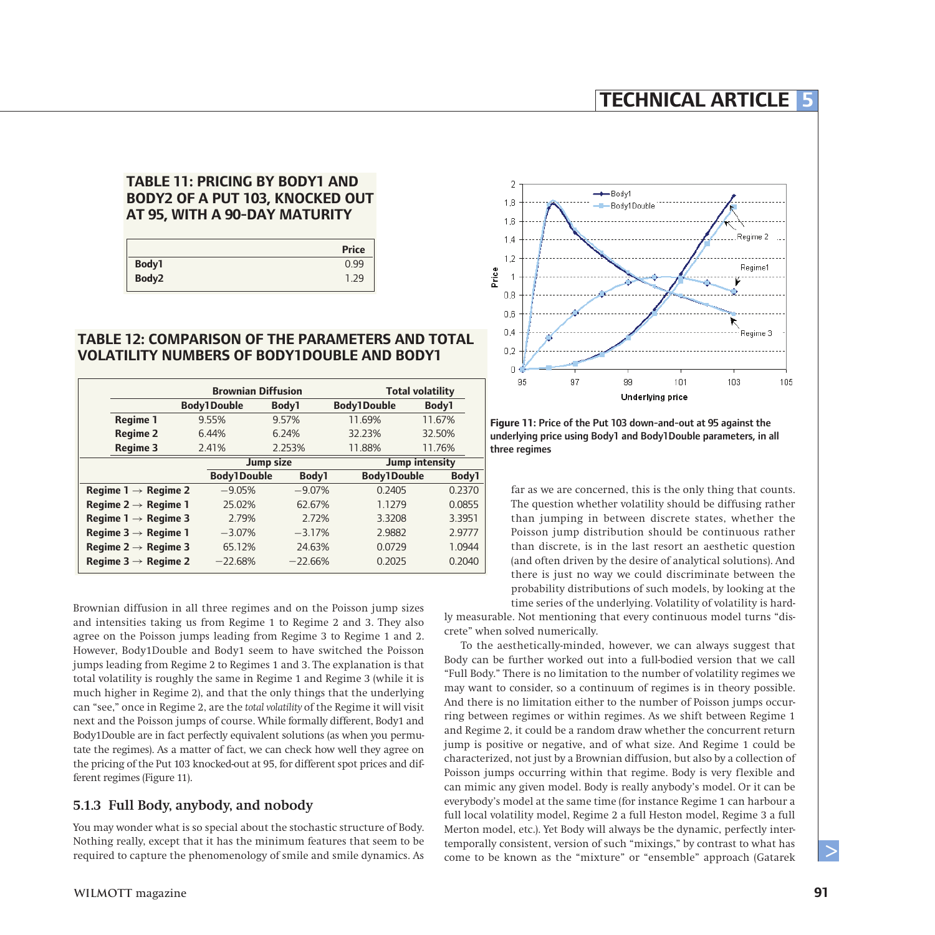# **TABLE 11: PRICING BY BODY1 AND BODY2 OF A PUT 103, KNOCKED OUT AT 95, WITH A 90-DAY MATURITY**

|       | <b>Price</b> |
|-------|--------------|
| Body1 | 0.99         |
| Body2 | 7۵ -         |

## **TABLE 12: COMPARISON OF THE PARAMETERS AND TOTAL VOLATILITY NUMBERS OF BODY1DOUBLE AND BODY1**

|                                 |                    | <b>Brownian Diffusion</b> |                    | <b>Total volatility</b> |        |  |  |
|---------------------------------|--------------------|---------------------------|--------------------|-------------------------|--------|--|--|
|                                 | <b>Body1Double</b> | Body1                     | <b>Body1Double</b> |                         | Body1  |  |  |
| <b>Regime 1</b>                 | 9.55%              | 9.57%                     | 11.69%             |                         | 11.67% |  |  |
| <b>Regime 2</b>                 | 6.44%              | 6.24%                     | 32.23%             |                         | 32.50% |  |  |
| <b>Regime 3</b>                 | 2.41%              | 2.253%                    | 11.88%             |                         | 11.76% |  |  |
|                                 |                    | Jump size                 |                    | <b>Jump intensity</b>   |        |  |  |
|                                 | <b>Body1Double</b> |                           | Body1              | <b>Body1Double</b>      | Body1  |  |  |
| Regime $1 \rightarrow$ Regime 2 | $-9.05%$           |                           | $-9.07%$           | 0.2405                  | 0.2370 |  |  |
| Regime 2 $\rightarrow$ Regime 1 | 25.02%             |                           | 62.67%             | 1.1279                  | 0.0855 |  |  |
| Regime $1 \rightarrow$ Regime 3 | 2.79%              |                           | 2.72%              | 3.3208                  | 3.3951 |  |  |
| Regime $3 \rightarrow$ Regime 1 | $-3.07%$           |                           | $-3.17%$           | 2.9882                  | 2.9777 |  |  |
| Regime 2 $\rightarrow$ Regime 3 | 65.12%             |                           | 24.63%             | 0.0729                  | 1.0944 |  |  |
| Regime $3 \rightarrow$ Regime 2 | $-22.68%$          |                           | $-22.66%$          | 0.2025                  | 0.2040 |  |  |

Brownian diffusion in all three regimes and on the Poisson jump sizes and intensities taking us from Regime 1 to Regime 2 and 3. They also agree on the Poisson jumps leading from Regime 3 to Regime 1 and 2. However, Body1Double and Body1 seem to have switched the Poisson jumps leading from Regime 2 to Regimes 1 and 3. The explanation is that total volatility is roughly the same in Regime 1 and Regime 3 (while it is much higher in Regime 2), and that the only things that the underlying can "see," once in Regime 2, are the *total volatility* of the Regime it will visit next and the Poisson jumps of course. While formally different, Body1 and Body1Double are in fact perfectly equivalent solutions (as when you permutate the regimes). As a matter of fact, we can check how well they agree on the pricing of the Put 103 knocked-out at 95, for different spot prices and different regimes (Figure 11).

#### **5.1.3 Full Body, anybody, and nobody**

You may wonder what is so special about the stochastic structure of Body. Nothing really, except that it has the minimum features that seem to be required to capture the phenomenology of smile and smile dynamics. As

![](_page_13_Figure_9.jpeg)

**Figure 11:** Price of the Put 103 down-and-out at 95 against the underlying price using Body1 and Body1Double parameters, in all three regimes

far as we are concerned, this is the only thing that counts. The question whether volatility should be diffusing rather than jumping in between discrete states, whether the Poisson jump distribution should be continuous rather than discrete, is in the last resort an aesthetic question (and often driven by the desire of analytical solutions). And there is just no way we could discriminate between the probability distributions of such models, by looking at the time series of the underlying. Volatility of volatility is hard-

ly measurable. Not mentioning that every continuous model turns "discrete" when solved numerically.

To the aesthetically-minded, however, we can always suggest that Body can be further worked out into a full-bodied version that we call "Full Body." There is no limitation to the number of volatility regimes we may want to consider, so a continuum of regimes is in theory possible. And there is no limitation either to the number of Poisson jumps occurring between regimes or within regimes. As we shift between Regime 1 and Regime 2, it could be a random draw whether the concurrent return jump is positive or negative, and of what size. And Regime 1 could be characterized, not just by a Brownian diffusion, but also by a collection of Poisson jumps occurring within that regime. Body is very flexible and can mimic any given model. Body is really anybody's model. Or it can be everybody's model at the same time (for instance Regime 1 can harbour a full local volatility model, Regime 2 a full Heston model, Regime 3 a full Merton model, etc.). Yet Body will always be the dynamic, perfectly intertemporally consistent, version of such "mixings," by contrast to what has come to be known as the "mixture" or "ensemble" approach (Gatarek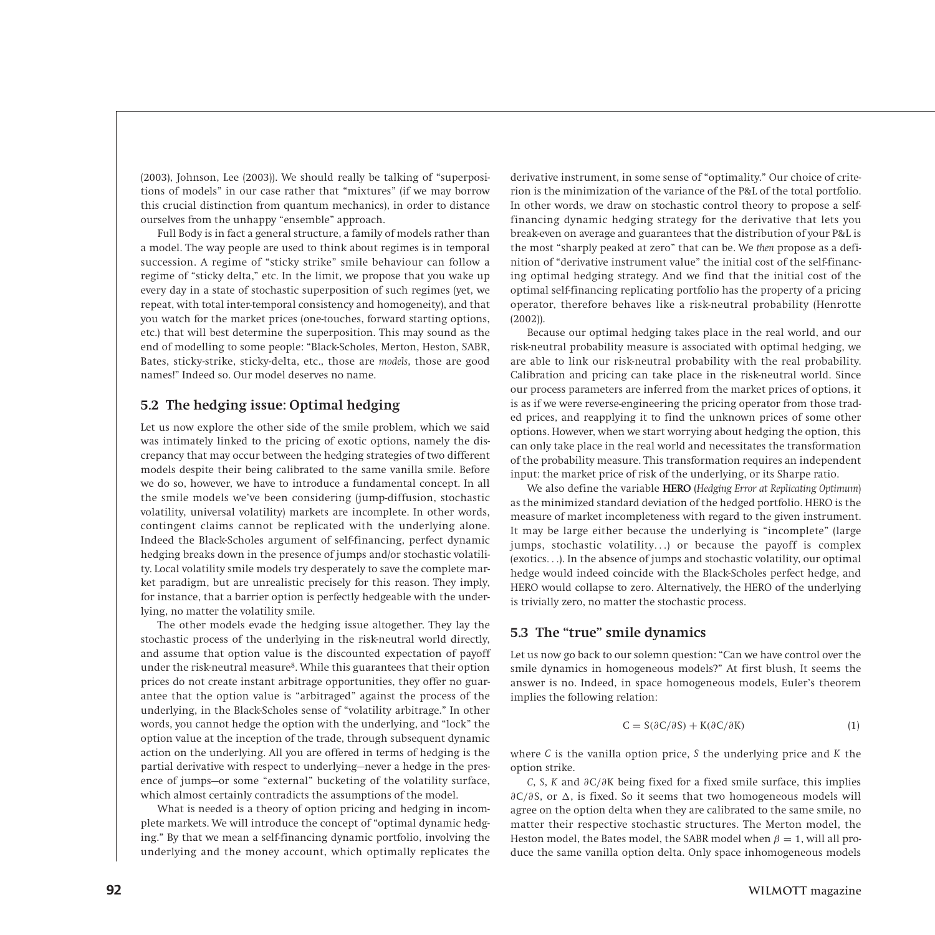(2003), Johnson, Lee (2003)). We should really be talking of "superpositions of models" in our case rather that "mixtures" (if we may borrow this crucial distinction from quantum mechanics), in order to distance ourselves from the unhappy "ensemble" approach.

Full Body is in fact a general structure, a family of models rather than a model. The way people are used to think about regimes is in temporal succession. A regime of "sticky strike" smile behaviour can follow a regime of "sticky delta," etc. In the limit, we propose that you wake up every day in a state of stochastic superposition of such regimes (yet, we repeat, with total inter-temporal consistency and homogeneity), and that you watch for the market prices (one-touches, forward starting options, etc.) that will best determine the superposition. This may sound as the end of modelling to some people: "Black-Scholes, Merton, Heston, SABR, Bates, sticky-strike, sticky-delta, etc., those are *models*, those are good names!" Indeed so. Our model deserves no name.

#### **5.2 The hedging issue: Optimal hedging**

Let us now explore the other side of the smile problem, which we said was intimately linked to the pricing of exotic options, namely the discrepancy that may occur between the hedging strategies of two different models despite their being calibrated to the same vanilla smile. Before we do so, however, we have to introduce a fundamental concept. In all the smile models we've been considering (jump-diffusion, stochastic volatility, universal volatility) markets are incomplete. In other words, contingent claims cannot be replicated with the underlying alone. Indeed the Black-Scholes argument of self-financing, perfect dynamic hedging breaks down in the presence of jumps and/or stochastic volatility. Local volatility smile models try desperately to save the complete market paradigm, but are unrealistic precisely for this reason. They imply, for instance, that a barrier option is perfectly hedgeable with the underlying, no matter the volatility smile.

The other models evade the hedging issue altogether. They lay the stochastic process of the underlying in the risk-neutral world directly, and assume that option value is the discounted expectation of payoff under the risk-neutral measure<sup>8</sup>. While this guarantees that their option prices do not create instant arbitrage opportunities, they offer no guarantee that the option value is "arbitraged" against the process of the underlying, in the Black-Scholes sense of "volatility arbitrage." In other words, you cannot hedge the option with the underlying, and "lock" the option value at the inception of the trade, through subsequent dynamic action on the underlying. All you are offered in terms of hedging is the partial derivative with respect to underlying—never a hedge in the presence of jumps—or some "external" bucketing of the volatility surface, which almost certainly contradicts the assumptions of the model.

What is needed is a theory of option pricing and hedging in incomplete markets. We will introduce the concept of "optimal dynamic hedging." By that we mean a self-financing dynamic portfolio, involving the underlying and the money account, which optimally replicates the

derivative instrument, in some sense of "optimality." Our choice of criterion is the minimization of the variance of the P&L of the total portfolio. In other words, we draw on stochastic control theory to propose a selffinancing dynamic hedging strategy for the derivative that lets you break-even on average and guarantees that the distribution of your P&L is the most "sharply peaked at zero" that can be. We *then* propose as a definition of "derivative instrument value" the initial cost of the self-financing optimal hedging strategy. And we find that the initial cost of the optimal self-financing replicating portfolio has the property of a pricing operator, therefore behaves like a risk-neutral probability (Henrotte (2002)).

Because our optimal hedging takes place in the real world, and our risk-neutral probability measure is associated with optimal hedging, we are able to link our risk-neutral probability with the real probability. Calibration and pricing can take place in the risk-neutral world. Since our process parameters are inferred from the market prices of options, it is as if we were reverse-engineering the pricing operator from those traded prices, and reapplying it to find the unknown prices of some other options. However, when we start worrying about hedging the option, this can only take place in the real world and necessitates the transformation of the probability measure. This transformation requires an independent input: the market price of risk of the underlying, or its Sharpe ratio.

We also define the variable **HERO** (*Hedging Error at Replicating Optimum*) as the minimized standard deviation of the hedged portfolio. HERO is the measure of market incompleteness with regard to the given instrument. It may be large either because the underlying is "incomplete" (large jumps, stochastic volatility*...*) or because the payoff is complex (exotics*...*). In the absence of jumps and stochastic volatility, our optimal hedge would indeed coincide with the Black-Scholes perfect hedge, and HERO would collapse to zero. Alternatively, the HERO of the underlying is trivially zero, no matter the stochastic process.

## **5.3 The "true" smile dynamics**

Let us now go back to our solemn question: "Can we have control over the smile dynamics in homogeneous models?" At first blush, It seems the answer is no. Indeed, in space homogeneous models, Euler's theorem implies the following relation:

$$
C = S(\partial C/\partial S) + K(\partial C/\partial K)
$$
 (1)

where *C* is the vanilla option price, *S* the underlying price and *K* the option strike.

*C*, *S*, *K* and *∂*C*/∂*K being fixed for a fixed smile surface, this implies *∂*C*/∂*S, or , is fixed. So it seems that two homogeneous models will agree on the option delta when they are calibrated to the same smile, no matter their respective stochastic structures. The Merton model, the Heston model, the Bates model, the SABR model when  $\beta = 1$ , will all produce the same vanilla option delta. Only space inhomogeneous models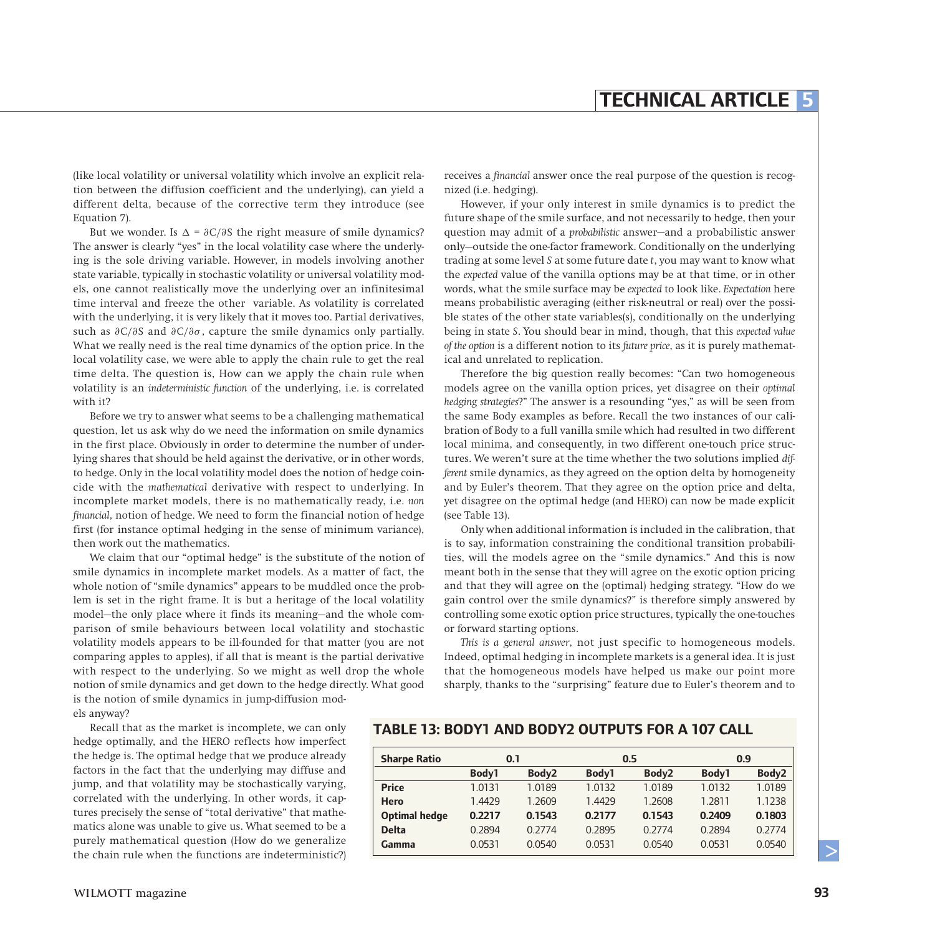(like local volatility or universal volatility which involve an explicit relation between the diffusion coefficient and the underlying), can yield a different delta, because of the corrective term they introduce (see Equation 7).

But we wonder. Is  = *∂*C*/∂*S the right measure of smile dynamics? The answer is clearly "yes" in the local volatility case where the underlying is the sole driving variable. However, in models involving another state variable, typically in stochastic volatility or universal volatility models, one cannot realistically move the underlying over an infinitesimal time interval and freeze the other variable. As volatility is correlated with the underlying, it is very likely that it moves too. Partial derivatives, such as *∂*C*/∂*S and *∂*C*/∂σ* , capture the smile dynamics only partially. What we really need is the real time dynamics of the option price. In the local volatility case, we were able to apply the chain rule to get the real time delta. The question is, How can we apply the chain rule when volatility is an *indeterministic function* of the underlying, i.e. is correlated with it?

Before we try to answer what seems to be a challenging mathematical question, let us ask why do we need the information on smile dynamics in the first place. Obviously in order to determine the number of underlying shares that should be held against the derivative, or in other words, to hedge. Only in the local volatility model does the notion of hedge coincide with the *mathematical* derivative with respect to underlying. In incomplete market models, there is no mathematically ready, i.e. *non financial*, notion of hedge. We need to form the financial notion of hedge first (for instance optimal hedging in the sense of minimum variance), then work out the mathematics.

We claim that our "optimal hedge" is the substitute of the notion of smile dynamics in incomplete market models. As a matter of fact, the whole notion of "smile dynamics" appears to be muddled once the problem is set in the right frame. It is but a heritage of the local volatility model—the only place where it finds its meaning—and the whole comparison of smile behaviours between local volatility and stochastic volatility models appears to be ill-founded for that matter (you are not comparing apples to apples), if all that is meant is the partial derivative with respect to the underlying. So we might as well drop the whole notion of smile dynamics and get down to the hedge directly. What good is the notion of smile dynamics in jump-diffusion models anyway?

Recall that as the market is incomplete, we can only hedge optimally, and the HERO reflects how imperfect the hedge is. The optimal hedge that we produce already factors in the fact that the underlying may diffuse and jump, and that volatility may be stochastically varying, correlated with the underlying. In other words, it captures precisely the sense of "total derivative" that mathematics alone was unable to give us. What seemed to be a purely mathematical question (How do we generalize the chain rule when the functions are indeterministic?)

receives a *financial* answer once the real purpose of the question is recognized (i.e. hedging).

However, if your only interest in smile dynamics is to predict the future shape of the smile surface, and not necessarily to hedge, then your question may admit of a *probabilistic* answer—and a probabilistic answer only—outside the one-factor framework. Conditionally on the underlying trading at some level *S* at some future date *t*, you may want to know what the *expected* value of the vanilla options may be at that time, or in other words, what the smile surface may be *expected* to look like. *Expectation* here means probabilistic averaging (either risk-neutral or real) over the possible states of the other state variables(s), conditionally on the underlying being in state *S*. You should bear in mind, though, that this *expected value of the option* is a different notion to its *future price*, as it is purely mathematical and unrelated to replication.

Therefore the big question really becomes: "Can two homogeneous models agree on the vanilla option prices, yet disagree on their *optimal hedging strategies*?" The answer is a resounding "yes," as will be seen from the same Body examples as before. Recall the two instances of our calibration of Body to a full vanilla smile which had resulted in two different local minima, and consequently, in two different one-touch price structures. We weren't sure at the time whether the two solutions implied *different* smile dynamics, as they agreed on the option delta by homogeneity and by Euler's theorem. That they agree on the option price and delta, yet disagree on the optimal hedge (and HERO) can now be made explicit (see Table 13).

Only when additional information is included in the calibration, that is to say, information constraining the conditional transition probabilities, will the models agree on the "smile dynamics." And this is now meant both in the sense that they will agree on the exotic option pricing and that they will agree on the (optimal) hedging strategy. "How do we gain control over the smile dynamics?" is therefore simply answered by controlling some exotic option price structures, typically the one-touches or forward starting options.

*This is a general answer*, not just specific to homogeneous models. Indeed, optimal hedging in incomplete markets is a general idea. It is just that the homogeneous models have helped us make our point more sharply, thanks to the "surprising" feature due to Euler's theorem and to

## **TABLE 13: BODY1 AND BODY2 OUTPUTS FOR A 107 CALL**

| <b>Sharpe Ratio</b>  | 0.1    |        | 0.5    |        | 0.9    |        |
|----------------------|--------|--------|--------|--------|--------|--------|
|                      | Body1  | Body2  | Body1  | Body2  | Body1  | Body2  |
| <b>Price</b>         | 1.0131 | 1.0189 | 1.0132 | 1.0189 | 1.0132 | 1.0189 |
| <b>Hero</b>          | 1.4429 | 1.2609 | 1.4429 | 1.2608 | 1.2811 | 1.1238 |
| <b>Optimal hedge</b> | 0.2217 | 0.1543 | 0.2177 | 0.1543 | 0.2409 | 0.1803 |
| <b>Delta</b>         | 0.2894 | 0.2774 | 0.2895 | 0.2774 | 0.2894 | 0.2774 |
| Gamma                | 0.0531 | 0.0540 | 0.0531 | 0.0540 | 0.0531 | 0.0540 |

**Wilmott** magazine **93**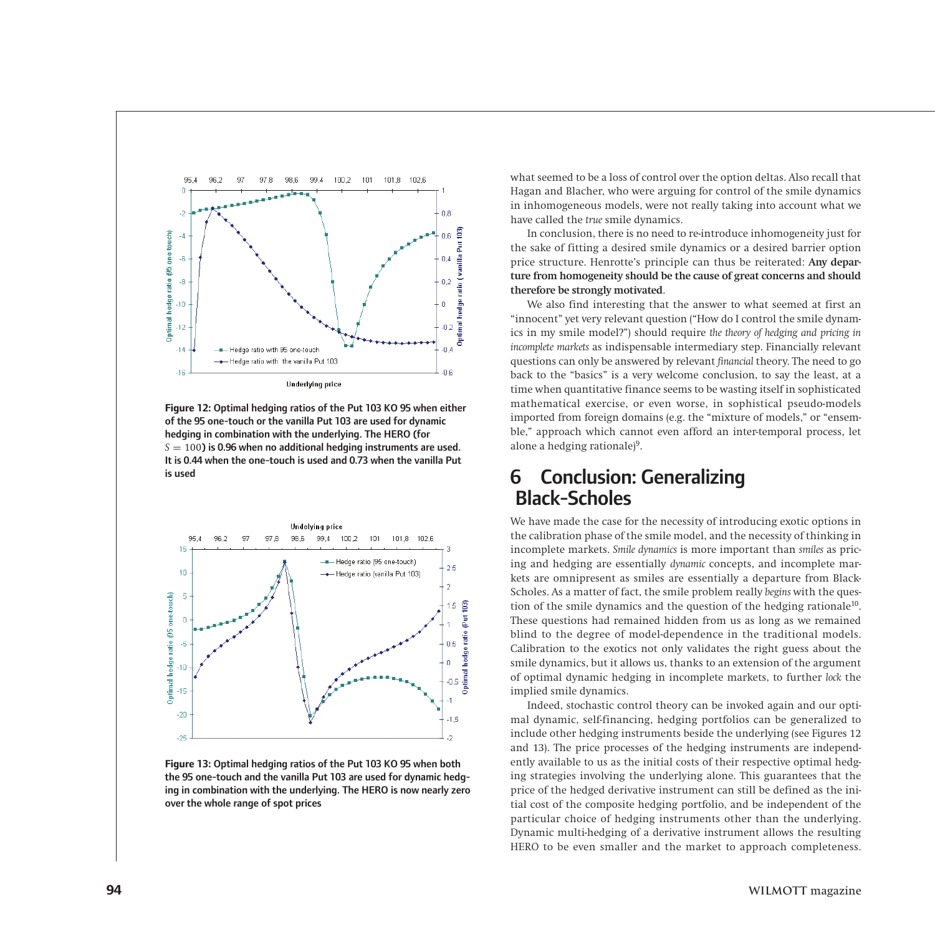![](_page_16_Figure_0.jpeg)

**Figure 12:** Optimal hedging ratios of the Put 103 KO 95 when either of the 95 one-touch or the vanilla Put 103 are used for dynamic hedging in combination with the underlying. The HERO (for  $S = 100$ ) is 0.96 when no additional hedging instruments are used. It is 0.44 when the one-touch is used and 0.73 when the vanilla Put is used

![](_page_16_Figure_2.jpeg)

**Figure 13:** Optimal hedging ratios of the Put 103 KO 95 when both the 95 one-touch and the vanilla Put 103 are used for dynamic hedging in combination with the underlying. The HERO is now nearly zero over the whole range of spot prices

what seemed to be a loss of control over the option deltas. Also recall that Hagan and Blacher, who were arguing for control of the smile dynamics in inhomogeneous models, were not really taking into account what we have called the *true* smile dynamics.

In conclusion, there is no need to re-introduce inhomogeneity just for the sake of fitting a desired smile dynamics or a desired barrier option price structure. Henrotte's principle can thus be reiterated: **Any departure from homogeneity should be the cause of great concerns and should therefore be strongly motivated**.

We also find interesting that the answer to what seemed at first an "innocent" yet very relevant question ("How do I control the smile dynamics in my smile model?") should require *the theory of hedging and pricing in incomplete markets* as indispensable intermediary step. Financially relevant questions can only be answered by relevant *financial* theory. The need to go back to the "basics" is a very welcome conclusion, to say the least, at a time when quantitative finance seems to be wasting itself in sophisticated mathematical exercise, or even worse, in sophistical pseudo-models imported from foreign domains (e.g. the "mixture of models," or "ensemble," approach which cannot even afford an inter-temporal process, let alone a hedging rationale)9.

# 6 Conclusion: Generalizing Black-Scholes

We have made the case for the necessity of introducing exotic options in the calibration phase of the smile model, and the necessity of thinking in incomplete markets. *Smile dynamics* is more important than *smiles* as pricing and hedging are essentially *dynamic* concepts, and incomplete markets are omnipresent as smiles are essentially a departure from Black-Scholes. As a matter of fact, the smile problem really *begins* with the question of the smile dynamics and the question of the hedging rationale<sup>10</sup>. These questions had remained hidden from us as long as we remained blind to the degree of model-dependence in the traditional models. Calibration to the exotics not only validates the right guess about the smile dynamics, but it allows us, thanks to an extension of the argument of optimal dynamic hedging in incomplete markets, to further *lock* the implied smile dynamics.

Indeed, stochastic control theory can be invoked again and our optimal dynamic, self-financing, hedging portfolios can be generalized to include other hedging instruments beside the underlying (see Figures 12 and 13). The price processes of the hedging instruments are independently available to us as the initial costs of their respective optimal hedging strategies involving the underlying alone. This guarantees that the price of the hedged derivative instrument can still be defined as the initial cost of the composite hedging portfolio, and be independent of the particular choice of hedging instruments other than the underlying. Dynamic multi-hedging of a derivative instrument allows the resulting HERO to be even smaller and the market to approach completeness.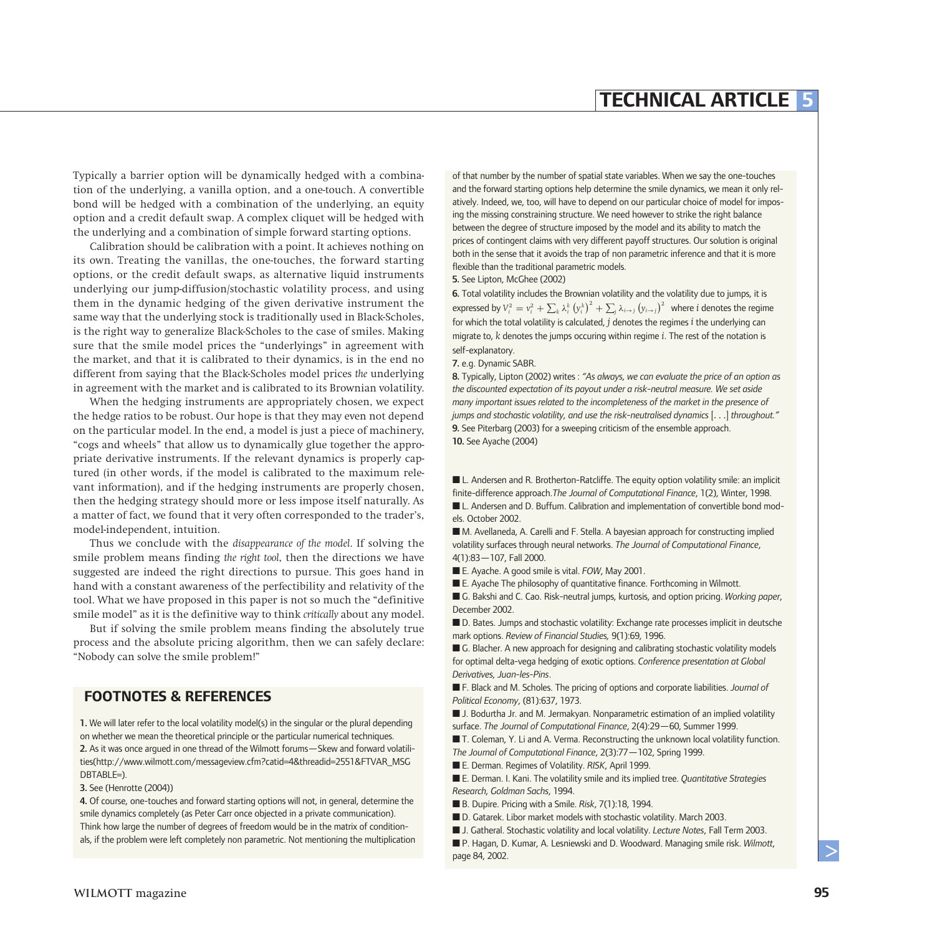Typically a barrier option will be dynamically hedged with a combination of the underlying, a vanilla option, and a one-touch. A convertible bond will be hedged with a combination of the underlying, an equity option and a credit default swap. A complex cliquet will be hedged with the underlying and a combination of simple forward starting options.

Calibration should be calibration with a point. It achieves nothing on its own. Treating the vanillas, the one-touches, the forward starting options, or the credit default swaps, as alternative liquid instruments underlying our jump-diffusion/stochastic volatility process, and using them in the dynamic hedging of the given derivative instrument the same way that the underlying stock is traditionally used in Black-Scholes, is the right way to generalize Black-Scholes to the case of smiles. Making sure that the smile model prices the "underlyings" in agreement with the market, and that it is calibrated to their dynamics, is in the end no different from saying that the Black-Scholes model prices *the* underlying in agreement with the market and is calibrated to its Brownian volatility.

When the hedging instruments are appropriately chosen, we expect the hedge ratios to be robust. Our hope is that they may even not depend on the particular model. In the end, a model is just a piece of machinery, "cogs and wheels" that allow us to dynamically glue together the appropriate derivative instruments. If the relevant dynamics is properly captured (in other words, if the model is calibrated to the maximum relevant information), and if the hedging instruments are properly chosen, then the hedging strategy should more or less impose itself naturally. As a matter of fact, we found that it very often corresponded to the trader's, model-independent, intuition.

Thus we conclude with the *disappearance of the model*. If solving the smile problem means finding *the right tool*, then the directions we have suggested are indeed the right directions to pursue. This goes hand in hand with a constant awareness of the perfectibility and relativity of the tool. What we have proposed in this paper is not so much the "definitive smile model" as it is the definitive way to think *critically* about any model.

But if solving the smile problem means finding the absolutely true process and the absolute pricing algorithm, then we can safely declare: "Nobody can solve the smile problem!"

## **FOOTNOTES & REFERENCES**

1. We will later refer to the local volatility model(s) in the singular or the plural depending on whether we mean the theoretical principle or the particular numerical techniques. 2. As it was once argued in one thread of the Wilmott forums—Skew and forward volatilities(http://www.wilmott.com/messageview.cfm?catid=4&threadid=2551&FTVAR\_MSG DBTABLE=).

#### 3. See (Henrotte (2004))

4. Of course, one-touches and forward starting options will not, in general, determine the smile dynamics completely (as Peter Carr once objected in a private communication). Think how large the number of degrees of freedom would be in the matrix of conditionals, if the problem were left completely non parametric. Not mentioning the multiplication of that number by the number of spatial state variables. When we say the one-touches and the forward starting options help determine the smile dynamics, we mean it only relatively. Indeed, we, too, will have to depend on our particular choice of model for imposing the missing constraining structure. We need however to strike the right balance between the degree of structure imposed by the model and its ability to match the prices of contingent claims with very different payoff structures. Our solution is original both in the sense that it avoids the trap of non parametric inference and that it is more flexible than the traditional parametric models.

5. See Lipton, McGhee (2002)

6. Total volatility includes the Brownian volatility and the volatility due to jumps, it is expressed by  $V_i^2 = v_i^2 + \sum_k \lambda_i^k \left( y_i^k \right)^2 + \sum_j \lambda_{i\to j} \left( y_{i\to j} \right)^2$  where  $i$  denotes the regime for which the total volatility is calculated, *j* denotes the regimes *i* the underlying can migrate to, *k* denotes the jumps occuring within regime *i*. The rest of the notation is self-explanatory.

7. e.g. Dynamic SABR.

8. Typically, Lipton (2002) writes : *"As always, we can evaluate the price of an option as the discounted expectation of its payout under a risk-neutral measure. We set aside many important issues related to the incompleteness of the market in the presence of jumps and stochastic volatility, and use the risk-neutralised dynamics* [*...*] *throughout."* 9. See Piterbarg (2003) for a sweeping criticism of the ensemble approach. 10. See Ayache (2004)

■ L. Andersen and R. Brotherton-Ratcliffe. The equity option volatility smile: an implicit finite-difference approach.*The Journal of Computational Finance*, 1(2), Winter, 1998. ■ L. Andersen and D. Buffum. Calibration and implementation of convertible bond models. October 2002.

■ M. Avellaneda, A. Carelli and F. Stella. A bayesian approach for constructing implied volatility surfaces through neural networks. *The Journal of Computational Finance*, 4(1):83—107, Fall 2000.

■ E. Ayache. A good smile is vital. *FOW*, May 2001.

■ E. Ayache The philosophy of quantitative finance. Forthcoming in Wilmott.

■ G. Bakshi and C. Cao. Risk-neutral jumps, kurtosis, and option pricing. *Working paper*, December 2002.

■ D. Bates. Jumps and stochastic volatility: Exchange rate processes implicit in deutsche mark options. *Review of Financial Studies,* 9(1):69, 1996.

■ G. Blacher. A new approach for designing and calibrating stochastic volatility models for optimal delta-vega hedging of exotic options. *Conference presentation at Global Derivatives, Juan-les-Pins*.

■ F. Black and M. Scholes. The pricing of options and corporate liabilities. *Journal of Political Economy*, (81):637, 1973.

■ J. Bodurtha Jr. and M. Jermakyan. Nonparametric estimation of an implied volatility surface. *The Journal of Computational Finance*, 2(4):29—60, Summer 1999.

■ T. Coleman, Y. Li and A. Verma. Reconstructing the unknown local volatility function. *The Journal of Computational Finance*, 2(3):77—102, Spring 1999.

- E. Derman. Regimes of Volatility. *RISK*, April 1999.
- E. Derman. I. Kani. The volatility smile and its implied tree. *Quantitative Strategies Research, Goldman Sachs*, 1994.
- B. Dupire. Pricing with a Smile. *Risk*, 7(1):18, 1994.
- D. Gatarek. Libor market models with stochastic volatility. March 2003.
- J. Gatheral. Stochastic volatility and local volatility. *Lecture Notes*, Fall Term 2003.
- P. Hagan, D. Kumar, A. Lesniewski and D. Woodward. Managing smile risk. *Wilmott*, page 84, 2002.